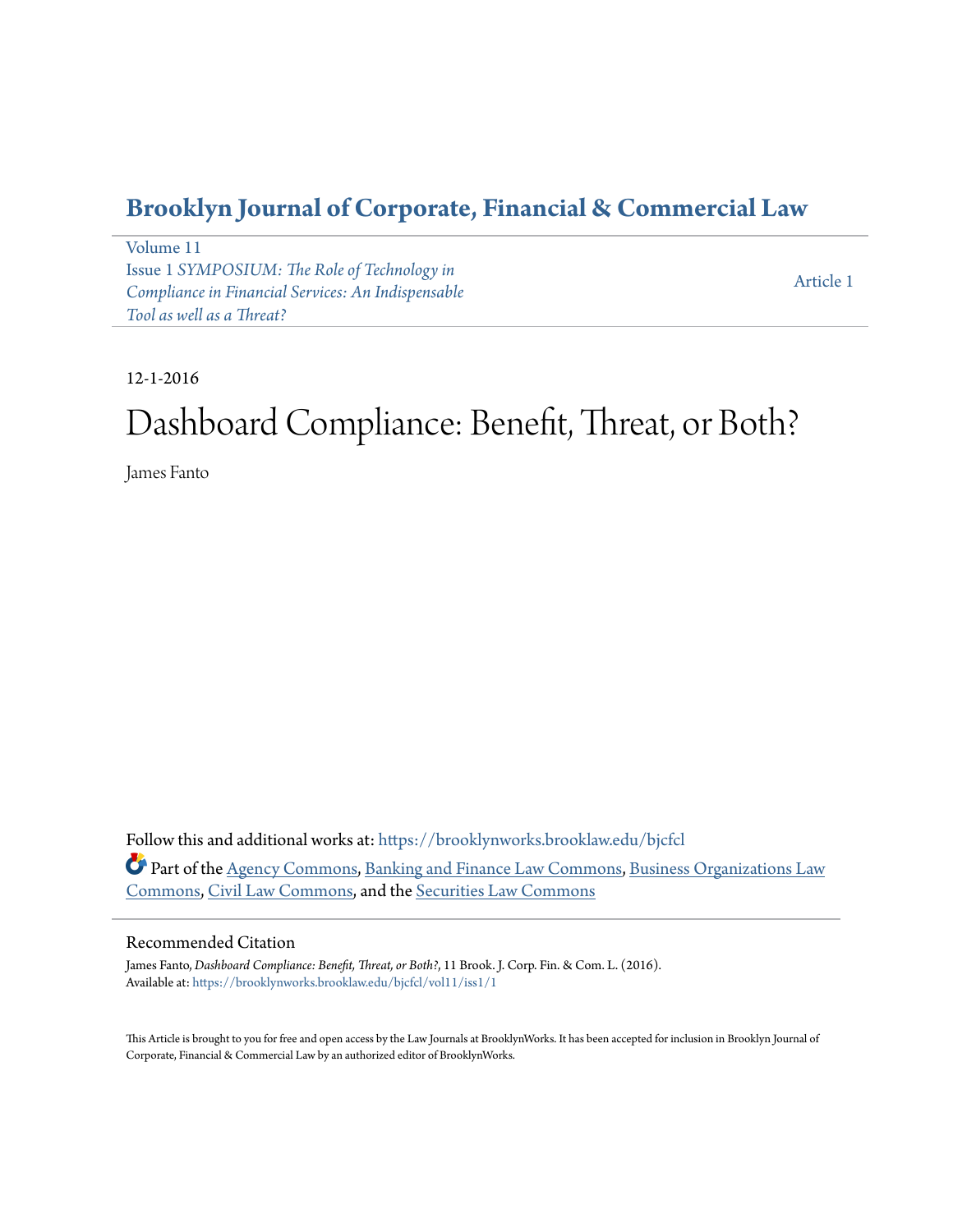## **[Brooklyn Journal of Corporate, Financial & Commercial Law](https://brooklynworks.brooklaw.edu/bjcfcl?utm_source=brooklynworks.brooklaw.edu%2Fbjcfcl%2Fvol11%2Fiss1%2F1&utm_medium=PDF&utm_campaign=PDFCoverPages)**

[Volume 11](https://brooklynworks.brooklaw.edu/bjcfcl/vol11?utm_source=brooklynworks.brooklaw.edu%2Fbjcfcl%2Fvol11%2Fiss1%2F1&utm_medium=PDF&utm_campaign=PDFCoverPages) Issue 1 *[SYMPOSIUM: The Role of Technology in](https://brooklynworks.brooklaw.edu/bjcfcl/vol11/iss1?utm_source=brooklynworks.brooklaw.edu%2Fbjcfcl%2Fvol11%2Fiss1%2F1&utm_medium=PDF&utm_campaign=PDFCoverPages) [Compliance in Financial Services: An Indispensable](https://brooklynworks.brooklaw.edu/bjcfcl/vol11/iss1?utm_source=brooklynworks.brooklaw.edu%2Fbjcfcl%2Fvol11%2Fiss1%2F1&utm_medium=PDF&utm_campaign=PDFCoverPages) [Tool as well as a Threat?](https://brooklynworks.brooklaw.edu/bjcfcl/vol11/iss1?utm_source=brooklynworks.brooklaw.edu%2Fbjcfcl%2Fvol11%2Fiss1%2F1&utm_medium=PDF&utm_campaign=PDFCoverPages)*

[Article 1](https://brooklynworks.brooklaw.edu/bjcfcl/vol11/iss1/1?utm_source=brooklynworks.brooklaw.edu%2Fbjcfcl%2Fvol11%2Fiss1%2F1&utm_medium=PDF&utm_campaign=PDFCoverPages)

#### 12-1-2016

# Dashboard Compliance: Benefit, Threat, or Both?

James Fanto

Follow this and additional works at: [https://brooklynworks.brooklaw.edu/bjcfcl](https://brooklynworks.brooklaw.edu/bjcfcl?utm_source=brooklynworks.brooklaw.edu%2Fbjcfcl%2Fvol11%2Fiss1%2F1&utm_medium=PDF&utm_campaign=PDFCoverPages) Part of the [Agency Commons,](http://network.bepress.com/hgg/discipline/829?utm_source=brooklynworks.brooklaw.edu%2Fbjcfcl%2Fvol11%2Fiss1%2F1&utm_medium=PDF&utm_campaign=PDFCoverPages) [Banking and Finance Law Commons,](http://network.bepress.com/hgg/discipline/833?utm_source=brooklynworks.brooklaw.edu%2Fbjcfcl%2Fvol11%2Fiss1%2F1&utm_medium=PDF&utm_campaign=PDFCoverPages) [Business Organizations Law](http://network.bepress.com/hgg/discipline/900?utm_source=brooklynworks.brooklaw.edu%2Fbjcfcl%2Fvol11%2Fiss1%2F1&utm_medium=PDF&utm_campaign=PDFCoverPages) [Commons,](http://network.bepress.com/hgg/discipline/900?utm_source=brooklynworks.brooklaw.edu%2Fbjcfcl%2Fvol11%2Fiss1%2F1&utm_medium=PDF&utm_campaign=PDFCoverPages) [Civil Law Commons,](http://network.bepress.com/hgg/discipline/835?utm_source=brooklynworks.brooklaw.edu%2Fbjcfcl%2Fvol11%2Fiss1%2F1&utm_medium=PDF&utm_campaign=PDFCoverPages) and the [Securities Law Commons](http://network.bepress.com/hgg/discipline/619?utm_source=brooklynworks.brooklaw.edu%2Fbjcfcl%2Fvol11%2Fiss1%2F1&utm_medium=PDF&utm_campaign=PDFCoverPages)

#### Recommended Citation

James Fanto, *Dashboard Compliance: Benefit, Threat, or Both?*, 11 Brook. J. Corp. Fin. & Com. L. (2016). Available at: [https://brooklynworks.brooklaw.edu/bjcfcl/vol11/iss1/1](https://brooklynworks.brooklaw.edu/bjcfcl/vol11/iss1/1?utm_source=brooklynworks.brooklaw.edu%2Fbjcfcl%2Fvol11%2Fiss1%2F1&utm_medium=PDF&utm_campaign=PDFCoverPages)

This Article is brought to you for free and open access by the Law Journals at BrooklynWorks. It has been accepted for inclusion in Brooklyn Journal of Corporate, Financial & Commercial Law by an authorized editor of BrooklynWorks.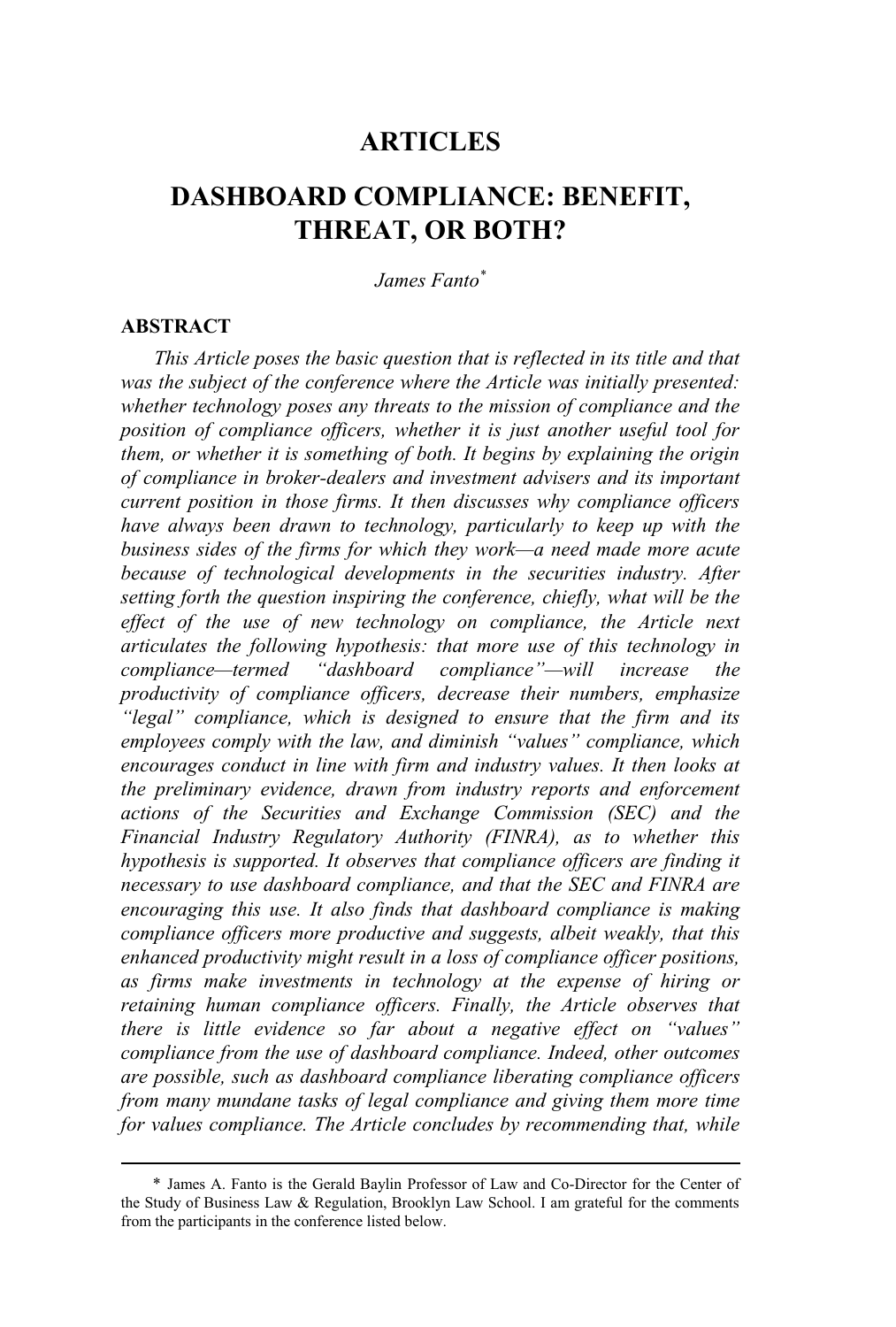### **ARTICLES**

## **DASHBOARD COMPLIANCE: BENEFIT, THREAT, OR BOTH?**

#### *James Fanto\**

#### **ABSTRACT**

*This Article poses the basic question that is reflected in its title and that was the subject of the conference where the Article was initially presented: whether technology poses any threats to the mission of compliance and the position of compliance officers, whether it is just another useful tool for them, or whether it is something of both. It begins by explaining the origin of compliance in broker-dealers and investment advisers and its important current position in those firms. It then discusses why compliance officers have always been drawn to technology, particularly to keep up with the business sides of the firms for which they work—a need made more acute because of technological developments in the securities industry. After setting forth the question inspiring the conference, chiefly, what will be the effect of the use of new technology on compliance, the Article next articulates the following hypothesis: that more use of this technology in compliance—termed "dashboard compliance"—will increase the productivity of compliance officers, decrease their numbers, emphasize "legal" compliance, which is designed to ensure that the firm and its employees comply with the law, and diminish "values" compliance, which encourages conduct in line with firm and industry values. It then looks at the preliminary evidence, drawn from industry reports and enforcement actions of the Securities and Exchange Commission (SEC) and the Financial Industry Regulatory Authority (FINRA), as to whether this hypothesis is supported. It observes that compliance officers are finding it necessary to use dashboard compliance, and that the SEC and FINRA are encouraging this use. It also finds that dashboard compliance is making compliance officers more productive and suggests, albeit weakly, that this enhanced productivity might result in a loss of compliance officer positions, as firms make investments in technology at the expense of hiring or retaining human compliance officers. Finally, the Article observes that there is little evidence so far about a negative effect on "values" compliance from the use of dashboard compliance. Indeed, other outcomes are possible, such as dashboard compliance liberating compliance officers from many mundane tasks of legal compliance and giving them more time for values compliance. The Article concludes by recommending that, while*

<sup>\*</sup> James A. Fanto is the Gerald Baylin Professor of Law and Co-Director for the Center of the Study of Business Law & Regulation, Brooklyn Law School. I am grateful for the comments from the participants in the conference listed below.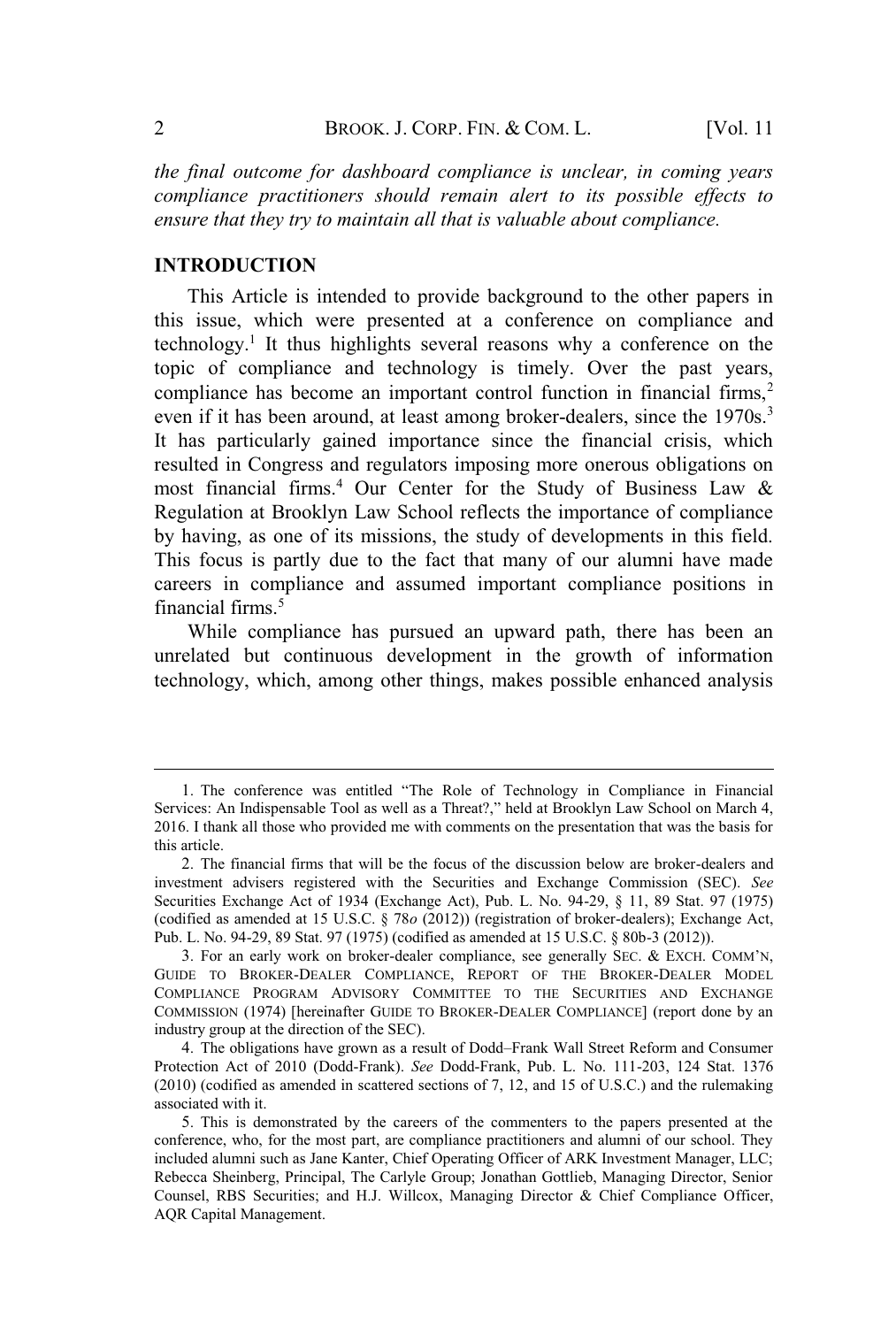*the final outcome for dashboard compliance is unclear, in coming years compliance practitioners should remain alert to its possible effects to ensure that they try to maintain all that is valuable about compliance.*

#### **INTRODUCTION**

This Article is intended to provide background to the other papers in this issue, which were presented at a conference on compliance and technology.<sup>1</sup> It thus highlights several reasons why a conference on the topic of compliance and technology is timely. Over the past years, compliance has become an important control function in financial firms,<sup>2</sup> even if it has been around, at least among broker-dealers, since the 1970s.<sup>3</sup> It has particularly gained importance since the financial crisis, which resulted in Congress and regulators imposing more onerous obligations on most financial firms.<sup>4</sup> Our Center for the Study of Business Law  $\&$ Regulation at Brooklyn Law School reflects the importance of compliance by having, as one of its missions, the study of developments in this field. This focus is partly due to the fact that many of our alumni have made careers in compliance and assumed important compliance positions in financial firms.<sup>5</sup>

While compliance has pursued an upward path, there has been an unrelated but continuous development in the growth of information technology, which, among other things, makes possible enhanced analysis

<sup>1</sup>. The conference was entitled "The Role of Technology in Compliance in Financial Services: An Indispensable Tool as well as a Threat?," held at Brooklyn Law School on March 4, 2016. I thank all those who provided me with comments on the presentation that was the basis for this article.

<sup>2</sup>. The financial firms that will be the focus of the discussion below are broker-dealers and investment advisers registered with the Securities and Exchange Commission (SEC). *See* Securities Exchange Act of 1934 (Exchange Act), Pub. L. No. 94-29, § 11, 89 Stat. 97 (1975) (codified as amended at 15 U.S.C. § 78*o* (2012)) (registration of broker-dealers); Exchange Act, Pub. L. No. 94-29, 89 Stat. 97 (1975) (codified as amended at 15 U.S.C. § 80b-3 (2012)).

<sup>3</sup>. For an early work on broker-dealer compliance, see generally SEC. & EXCH. COMM'N, GUIDE TO BROKER-DEALER COMPLIANCE, REPORT OF THE BROKER-DEALER MODEL COMPLIANCE PROGRAM ADVISORY COMMITTEE TO THE SECURITIES AND EXCHANGE COMMISSION (1974) [hereinafter GUIDE TO BROKER-DEALER COMPLIANCE] (report done by an industry group at the direction of the SEC).

<sup>4</sup>. The obligations have grown as a result of Dodd–Frank Wall Street Reform and Consumer Protection Act of 2010 (Dodd-Frank). *See* Dodd-Frank, Pub. L. No. 111-203, 124 Stat. 1376 (2010) (codified as amended in scattered sections of 7, 12, and 15 of U.S.C.) and the rulemaking associated with it.

<sup>5</sup>. This is demonstrated by the careers of the commenters to the papers presented at the conference, who, for the most part, are compliance practitioners and alumni of our school. They included alumni such as Jane Kanter, Chief Operating Officer of ARK Investment Manager, LLC; Rebecca Sheinberg, Principal, The Carlyle Group; Jonathan Gottlieb, Managing Director, Senior Counsel, RBS Securities; and H.J. Willcox, Managing Director & Chief Compliance Officer, AQR Capital Management.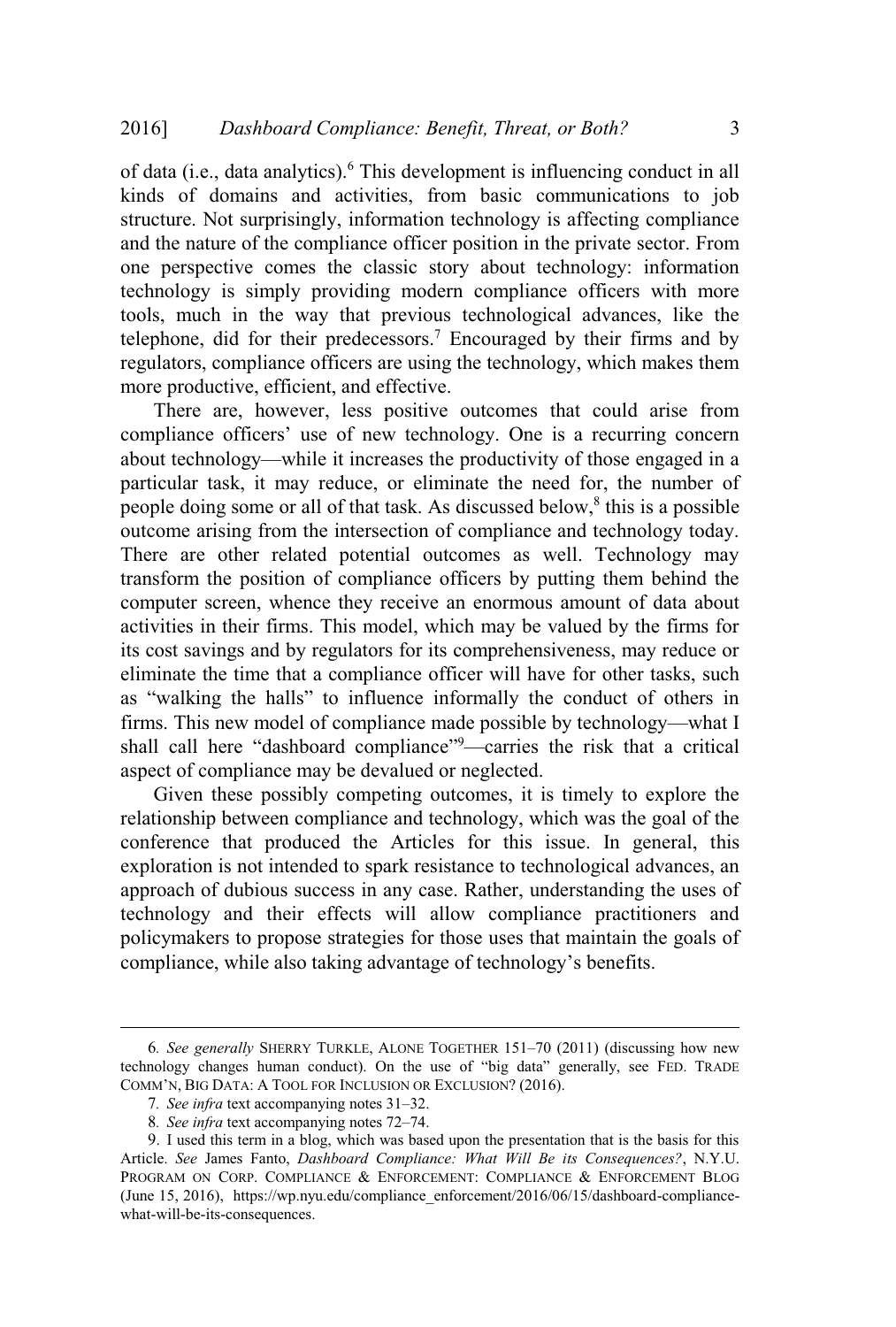of data (i.e., data analytics).<sup>6</sup> This development is influencing conduct in all kinds of domains and activities, from basic communications to job structure. Not surprisingly, information technology is affecting compliance and the nature of the compliance officer position in the private sector. From one perspective comes the classic story about technology: information technology is simply providing modern compliance officers with more tools, much in the way that previous technological advances, like the telephone, did for their predecessors.<sup>7</sup> Encouraged by their firms and by regulators, compliance officers are using the technology, which makes them more productive, efficient, and effective.

There are, however, less positive outcomes that could arise from compliance officers' use of new technology. One is a recurring concern about technology—while it increases the productivity of those engaged in a particular task, it may reduce, or eliminate the need for, the number of people doing some or all of that task. As discussed below,  $\delta$  this is a possible outcome arising from the intersection of compliance and technology today. There are other related potential outcomes as well. Technology may transform the position of compliance officers by putting them behind the computer screen, whence they receive an enormous amount of data about activities in their firms. This model, which may be valued by the firms for its cost savings and by regulators for its comprehensiveness, may reduce or eliminate the time that a compliance officer will have for other tasks, such as "walking the halls" to influence informally the conduct of others in firms. This new model of compliance made possible by technology—what I shall call here "dashboard compliance"<sup>9</sup>—carries the risk that a critical aspect of compliance may be devalued or neglected.

Given these possibly competing outcomes, it is timely to explore the relationship between compliance and technology, which was the goal of the conference that produced the Articles for this issue. In general, this exploration is not intended to spark resistance to technological advances, an approach of dubious success in any case. Rather, understanding the uses of technology and their effects will allow compliance practitioners and policymakers to propose strategies for those uses that maintain the goals of compliance, while also taking advantage of technology's benefits.

<sup>6</sup>*. See generally* SHERRY TURKLE, ALONE TOGETHER 151–70 (2011) (discussing how new technology changes human conduct). On the use of "big data" generally, see FED. TRADE COMM'N, BIG DATA: A TOOL FOR INCLUSION OR EXCLUSION? (2016).

<sup>7</sup>*. See infra* text accompanying notes 31–32.

<sup>8</sup>*. See infra* text accompanying notes 72–74.

<sup>9</sup>. I used this term in a blog, which was based upon the presentation that is the basis for this Article. *See* James Fanto, *Dashboard Compliance: What Will Be its Consequences?*, N.Y.U. PROGRAM ON CORP. COMPLIANCE & ENFORCEMENT: COMPLIANCE & ENFORCEMENT BLOG (June 15, 2016), https://wp.nyu.edu/compliance\_enforcement/2016/06/15/dashboard-compliancewhat-will-be-its-consequences.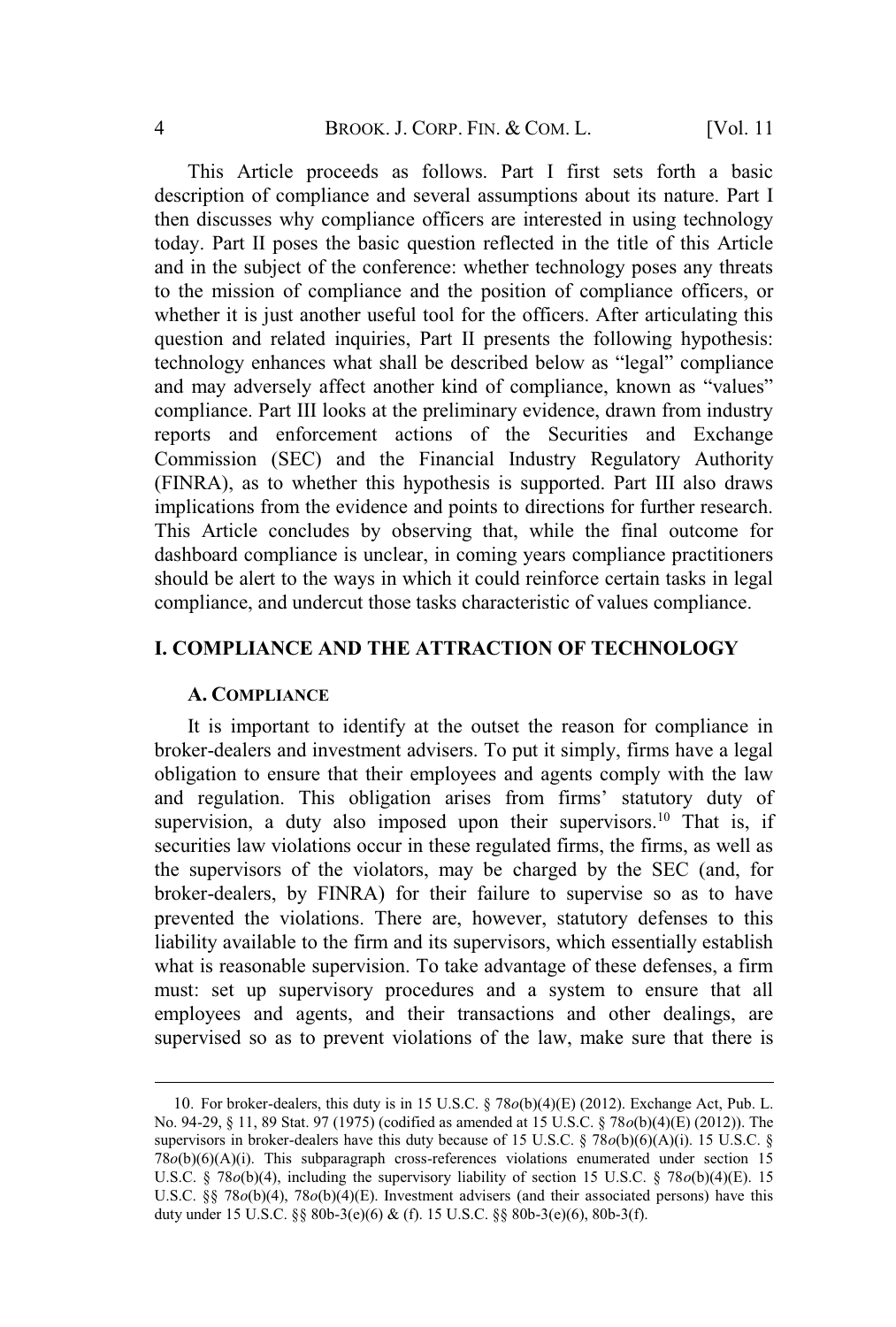This Article proceeds as follows. Part I first sets forth a basic description of compliance and several assumptions about its nature. Part I then discusses why compliance officers are interested in using technology today. Part II poses the basic question reflected in the title of this Article and in the subject of the conference: whether technology poses any threats to the mission of compliance and the position of compliance officers, or whether it is just another useful tool for the officers. After articulating this question and related inquiries, Part II presents the following hypothesis: technology enhances what shall be described below as "legal" compliance and may adversely affect another kind of compliance, known as "values" compliance. Part III looks at the preliminary evidence, drawn from industry reports and enforcement actions of the Securities and Exchange Commission (SEC) and the Financial Industry Regulatory Authority (FINRA), as to whether this hypothesis is supported. Part III also draws implications from the evidence and points to directions for further research. This Article concludes by observing that, while the final outcome for dashboard compliance is unclear, in coming years compliance practitioners should be alert to the ways in which it could reinforce certain tasks in legal compliance, and undercut those tasks characteristic of values compliance.

#### **I. COMPLIANCE AND THE ATTRACTION OF TECHNOLOGY**

#### **A. COMPLIANCE**

It is important to identify at the outset the reason for compliance in broker-dealers and investment advisers. To put it simply, firms have a legal obligation to ensure that their employees and agents comply with the law and regulation. This obligation arises from firms' statutory duty of supervision, a duty also imposed upon their supervisors.<sup>10</sup> That is, if securities law violations occur in these regulated firms, the firms, as well as the supervisors of the violators, may be charged by the SEC (and, for broker-dealers, by FINRA) for their failure to supervise so as to have prevented the violations. There are, however, statutory defenses to this liability available to the firm and its supervisors, which essentially establish what is reasonable supervision. To take advantage of these defenses, a firm must: set up supervisory procedures and a system to ensure that all employees and agents, and their transactions and other dealings, are supervised so as to prevent violations of the law, make sure that there is

<sup>10</sup>. For broker-dealers, this duty is in 15 U.S.C. § 78*o*(b)(4)(E) (2012). Exchange Act, Pub. L. No. 94-29, § 11, 89 Stat. 97 (1975) (codified as amended at 15 U.S.C. § 78*o*(b)(4)(E) (2012)). The supervisors in broker-dealers have this duty because of 15 U.S.C. § 78*o*(b)(6)(A)(i). 15 U.S.C. § 78*o*(b)(6)(A)(i). This subparagraph cross-references violations enumerated under section 15 U.S.C. § 78*o*(b)(4), including the supervisory liability of section 15 U.S.C. § 78*o*(b)(4)(E). 15 U.S.C. §§ 78 $o(b)(4)$ , 78 $o(b)(4)(E)$ . Investment advisers (and their associated persons) have this duty under 15 U.S.C. §§ 80b-3(e)(6) & (f). 15 U.S.C. §§ 80b-3(e)(6), 80b-3(f).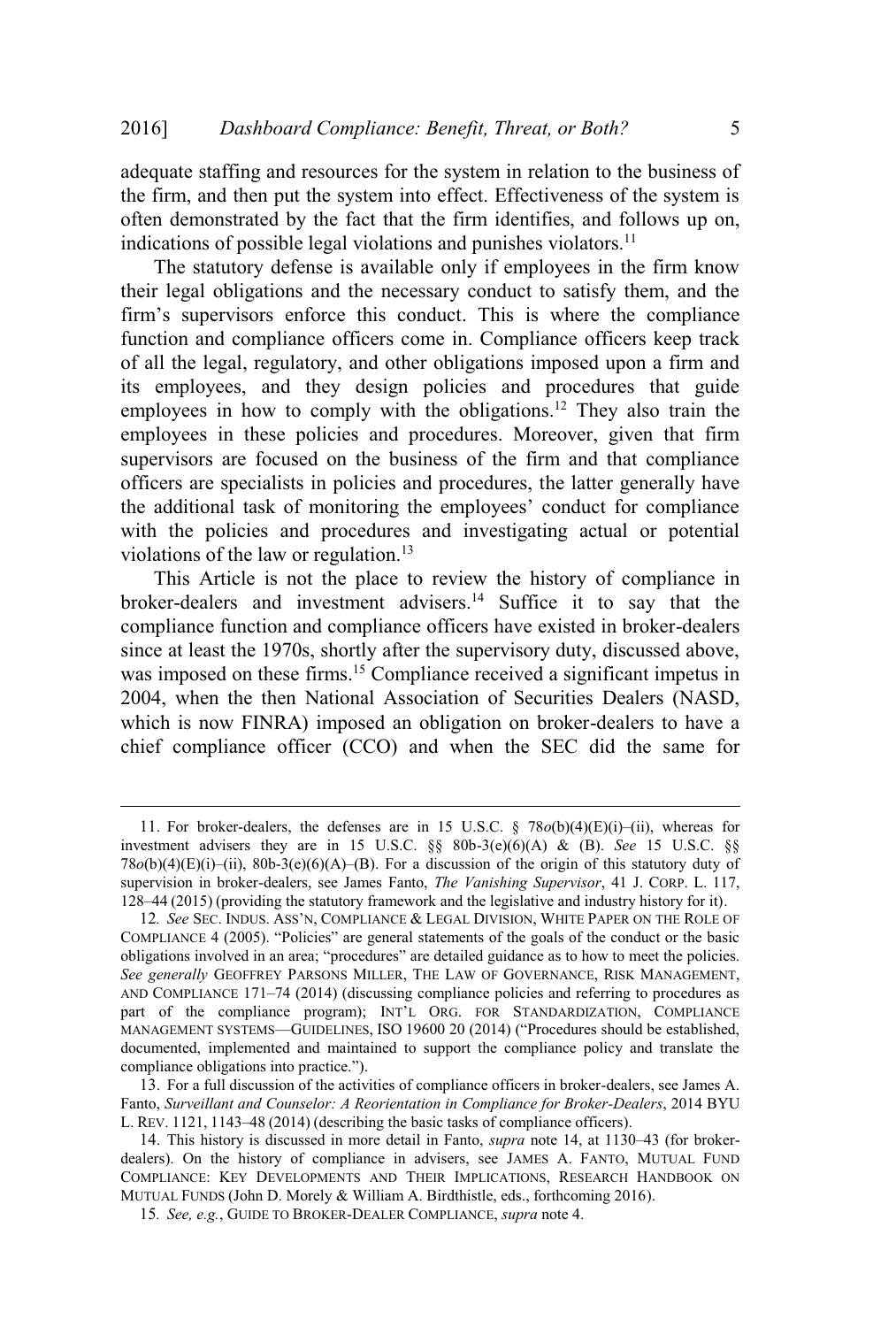adequate staffing and resources for the system in relation to the business of the firm, and then put the system into effect. Effectiveness of the system is often demonstrated by the fact that the firm identifies, and follows up on, indications of possible legal violations and punishes violators.<sup>11</sup>

The statutory defense is available only if employees in the firm know their legal obligations and the necessary conduct to satisfy them, and the firm's supervisors enforce this conduct. This is where the compliance function and compliance officers come in. Compliance officers keep track of all the legal, regulatory, and other obligations imposed upon a firm and its employees, and they design policies and procedures that guide employees in how to comply with the obligations.<sup>12</sup> They also train the employees in these policies and procedures. Moreover, given that firm supervisors are focused on the business of the firm and that compliance officers are specialists in policies and procedures, the latter generally have the additional task of monitoring the employees' conduct for compliance with the policies and procedures and investigating actual or potential violations of the law or regulation.<sup>13</sup>

This Article is not the place to review the history of compliance in broker-dealers and investment advisers.<sup>14</sup> Suffice it to say that the compliance function and compliance officers have existed in broker-dealers since at least the 1970s, shortly after the supervisory duty, discussed above, was imposed on these firms.<sup>15</sup> Compliance received a significant impetus in 2004, when the then National Association of Securities Dealers (NASD, which is now FINRA) imposed an obligation on broker-dealers to have a chief compliance officer (CCO) and when the SEC did the same for

<sup>11</sup>. For broker-dealers, the defenses are in 15 U.S.C. § 78*o*(b)(4)(E)(i)–(ii), whereas for investment advisers they are in 15 U.S.C. §§ 80b-3(e)(6)(A) & (B). *See* 15 U.S.C. §§ 78*o*(b)(4)(E)(i)–(ii), 80b-3(e)(6)(A)–(B). For a discussion of the origin of this statutory duty of supervision in broker-dealers, see James Fanto, *The Vanishing Supervisor*, 41 J. CORP. L. 117, 128–44 (2015) (providing the statutory framework and the legislative and industry history for it).

<sup>12</sup>*. See* SEC. INDUS. ASS'N, COMPLIANCE & LEGAL DIVISION, WHITE PAPER ON THE ROLE OF COMPLIANCE 4 (2005). "Policies" are general statements of the goals of the conduct or the basic obligations involved in an area; "procedures" are detailed guidance as to how to meet the policies. *See generally* GEOFFREY PARSONS MILLER, THE LAW OF GOVERNANCE, RISK MANAGEMENT, AND COMPLIANCE 171–74 (2014) (discussing compliance policies and referring to procedures as part of the compliance program); INT'<sup>L</sup> ORG. FOR STANDARDIZATION, COMPLIANCE MANAGEMENT SYSTEMS—GUIDELINES, ISO 19600 20 (2014) ("Procedures should be established, documented, implemented and maintained to support the compliance policy and translate the compliance obligations into practice.").

<sup>13</sup>. For a full discussion of the activities of compliance officers in broker-dealers, see James A. Fanto, *Surveillant and Counselor: A Reorientation in Compliance for Broker-Dealers*, 2014 BYU L. REV. 1121, 1143–48 (2014) (describing the basic tasks of compliance officers).

<sup>14</sup>. This history is discussed in more detail in Fanto, *supra* note 14, at 1130–43 (for brokerdealers). On the history of compliance in advisers, see JAMES A. FANTO, MUTUAL FUND COMPLIANCE: KEY DEVELOPMENTS AND THEIR IMPLICATIONS, RESEARCH HANDBOOK ON MUTUAL FUNDS (John D. Morely & William A. Birdthistle, eds., forthcoming 2016).

<sup>15</sup>*. See, e.g.*, GUIDE TO BROKER-DEALER COMPLIANCE, *supra* note 4.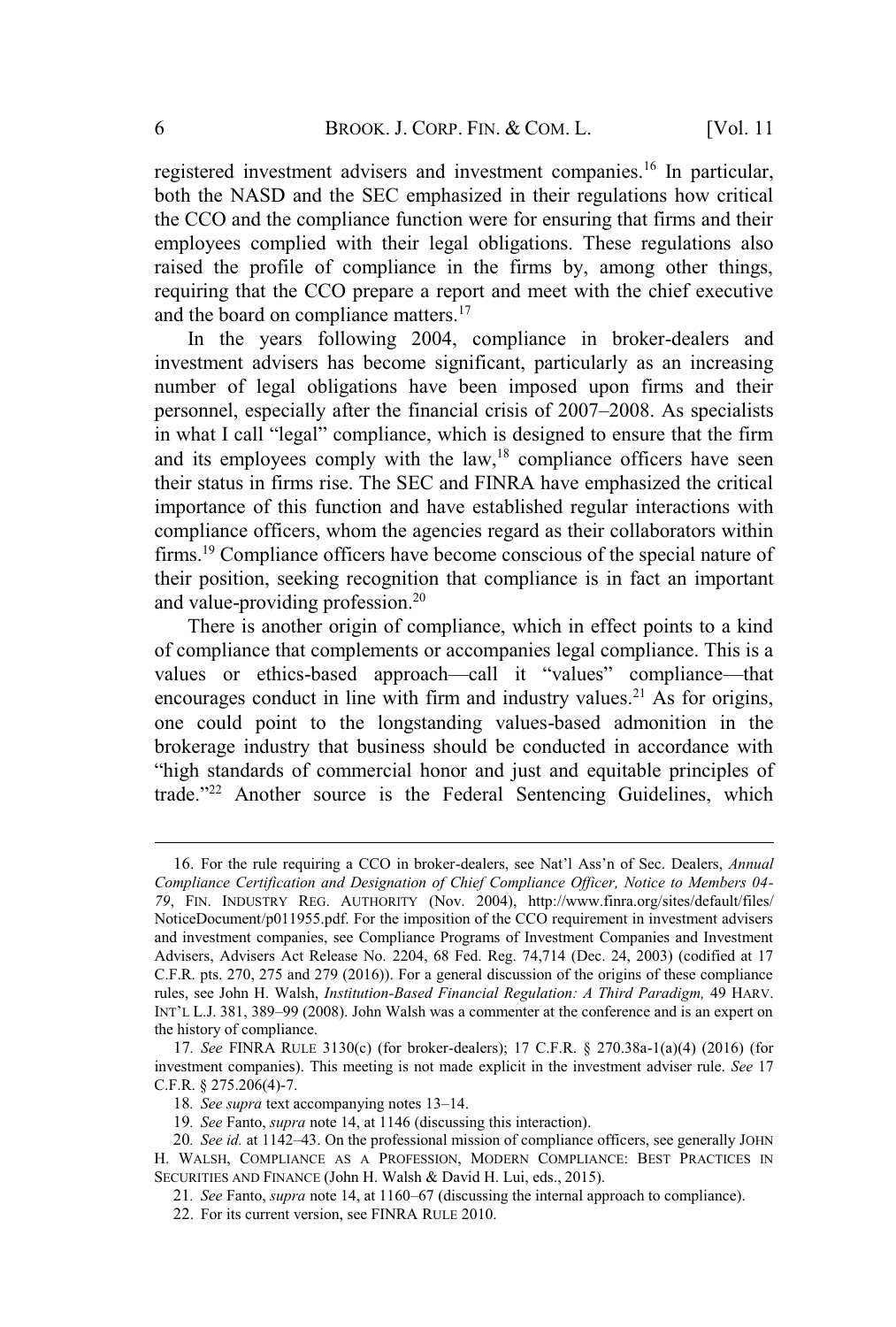registered investment advisers and investment companies.<sup>16</sup> In particular, both the NASD and the SEC emphasized in their regulations how critical the CCO and the compliance function were for ensuring that firms and their employees complied with their legal obligations. These regulations also raised the profile of compliance in the firms by, among other things, requiring that the CCO prepare a report and meet with the chief executive and the board on compliance matters.<sup>17</sup>

In the years following 2004, compliance in broker-dealers and investment advisers has become significant, particularly as an increasing number of legal obligations have been imposed upon firms and their personnel, especially after the financial crisis of 2007–2008. As specialists in what I call "legal" compliance, which is designed to ensure that the firm and its employees comply with the law, $18$  compliance officers have seen their status in firms rise. The SEC and FINRA have emphasized the critical importance of this function and have established regular interactions with compliance officers, whom the agencies regard as their collaborators within firms.<sup>19</sup> Compliance officers have become conscious of the special nature of their position, seeking recognition that compliance is in fact an important and value-providing profession.<sup>20</sup>

There is another origin of compliance, which in effect points to a kind of compliance that complements or accompanies legal compliance. This is a values or ethics-based approach—call it "values" compliance—that encourages conduct in line with firm and industry values.<sup>21</sup> As for origins, one could point to the longstanding values-based admonition in the brokerage industry that business should be conducted in accordance with "high standards of commercial honor and just and equitable principles of trade."<sup>22</sup> Another source is the Federal Sentencing Guidelines, which

<sup>16</sup>. For the rule requiring a CCO in broker-dealers, see Nat'l Ass'n of Sec. Dealers, *Annual Compliance Certification and Designation of Chief Compliance Officer, Notice to Members 04- 79*, FIN. INDUSTRY REG. AUTHORITY (Nov. 2004), http://www.finra.org/sites/default/files/ NoticeDocument/p011955.pdf. For the imposition of the CCO requirement in investment advisers and investment companies, see Compliance Programs of Investment Companies and Investment Advisers, Advisers Act Release No. 2204, 68 Fed. Reg. 74,714 (Dec. 24, 2003) (codified at 17 C.F.R. pts. 270, 275 and 279 (2016)). For a general discussion of the origins of these compliance rules, see John H. Walsh, *Institution-Based Financial Regulation: A Third Paradigm,* 49 HARV. INT'<sup>L</sup> L.J. 381, 389–99 (2008). John Walsh was a commenter at the conference and is an expert on the history of compliance.

<sup>17</sup>*. See* FINRA RULE 3130(c) (for broker-dealers); 17 C.F.R. § 270.38a-1(a)(4) (2016) (for investment companies). This meeting is not made explicit in the investment adviser rule. *See* 17 C.F.R. § 275.206(4)-7.

<sup>18</sup>*. See supra* text accompanying notes 13–14.

<sup>19</sup>*. See* Fanto, *supra* note 14, at 1146 (discussing this interaction).

<sup>20</sup>*. See id.* at 1142–43. On the professional mission of compliance officers, see generally JOHN H. WALSH, COMPLIANCE AS A PROFESSION, MODERN COMPLIANCE: BEST PRACTICES IN SECURITIES AND FINANCE (John H. Walsh & David H. Lui, eds., 2015).

<sup>21</sup>*. See* Fanto, *supra* note 14, at 1160–67 (discussing the internal approach to compliance).

<sup>22</sup>. For its current version, see FINRA RULE 2010.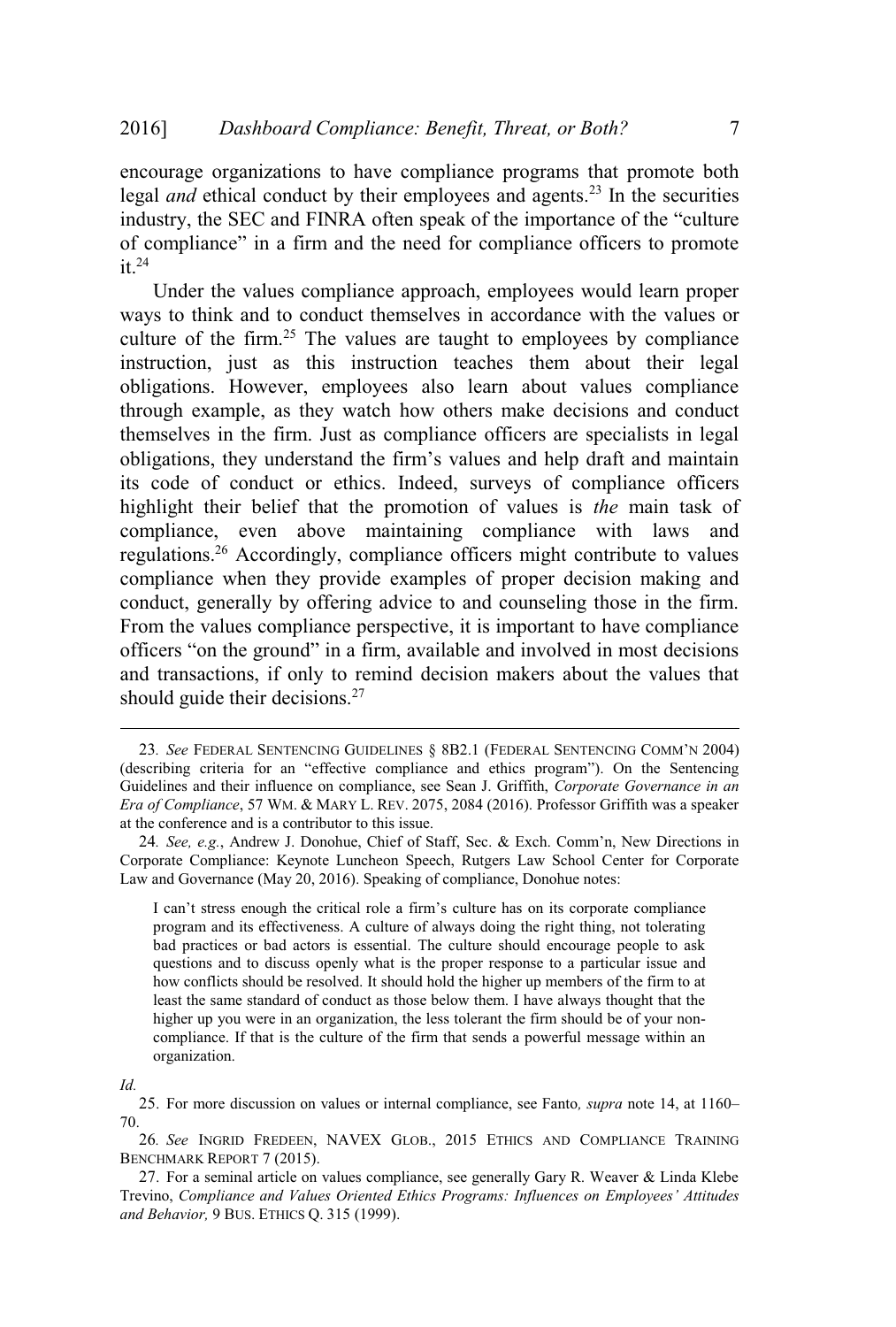encourage organizations to have compliance programs that promote both legal *and* ethical conduct by their employees and agents.<sup>23</sup> In the securities industry, the SEC and FINRA often speak of the importance of the "culture of compliance" in a firm and the need for compliance officers to promote  $it^{24}$ 

Under the values compliance approach, employees would learn proper ways to think and to conduct themselves in accordance with the values or culture of the firm.<sup>25</sup> The values are taught to employees by compliance instruction, just as this instruction teaches them about their legal obligations. However, employees also learn about values compliance through example, as they watch how others make decisions and conduct themselves in the firm. Just as compliance officers are specialists in legal obligations, they understand the firm's values and help draft and maintain its code of conduct or ethics. Indeed, surveys of compliance officers highlight their belief that the promotion of values is *the* main task of compliance, even above maintaining compliance with laws and regulations.<sup>26</sup> Accordingly, compliance officers might contribute to values compliance when they provide examples of proper decision making and conduct, generally by offering advice to and counseling those in the firm. From the values compliance perspective, it is important to have compliance officers "on the ground" in a firm, available and involved in most decisions and transactions, if only to remind decision makers about the values that should guide their decisions.<sup>27</sup>

<sup>23</sup>*. See* FEDERAL SENTENCING GUIDELINES § 8B2.1 (FEDERAL SENTENCING COMM'<sup>N</sup> 2004) (describing criteria for an "effective compliance and ethics program"). On the Sentencing Guidelines and their influence on compliance, see Sean J. Griffith, *Corporate Governance in an Era of Compliance*, 57 WM. & MARY L. REV. 2075, 2084 (2016). Professor Griffith was a speaker at the conference and is a contributor to this issue.

<sup>24</sup>*. See, e.g.*, Andrew J. Donohue, Chief of Staff, Sec. & Exch. Comm'n, New Directions in Corporate Compliance: Keynote Luncheon Speech, Rutgers Law School Center for Corporate Law and Governance (May 20, 2016). Speaking of compliance, Donohue notes:

I can't stress enough the critical role a firm's culture has on its corporate compliance program and its effectiveness. A culture of always doing the right thing, not tolerating bad practices or bad actors is essential. The culture should encourage people to ask questions and to discuss openly what is the proper response to a particular issue and how conflicts should be resolved. It should hold the higher up members of the firm to at least the same standard of conduct as those below them. I have always thought that the higher up you were in an organization, the less tolerant the firm should be of your noncompliance. If that is the culture of the firm that sends a powerful message within an organization.

*Id.*

<sup>25</sup>. For more discussion on values or internal compliance, see Fanto*, supra* note 14, at 1160– 70.

<sup>26</sup>*. See* INGRID FREDEEN, NAVEX GLOB., 2015 ETHICS AND COMPLIANCE TRAINING BENCHMARK REPORT 7 (2015).

<sup>27</sup>. For a seminal article on values compliance, see generally Gary R. Weaver & Linda Klebe Trevino, *Compliance and Values Oriented Ethics Programs: Influences on Employees' Attitudes and Behavior,* 9 BUS. ETHICS Q. 315 (1999).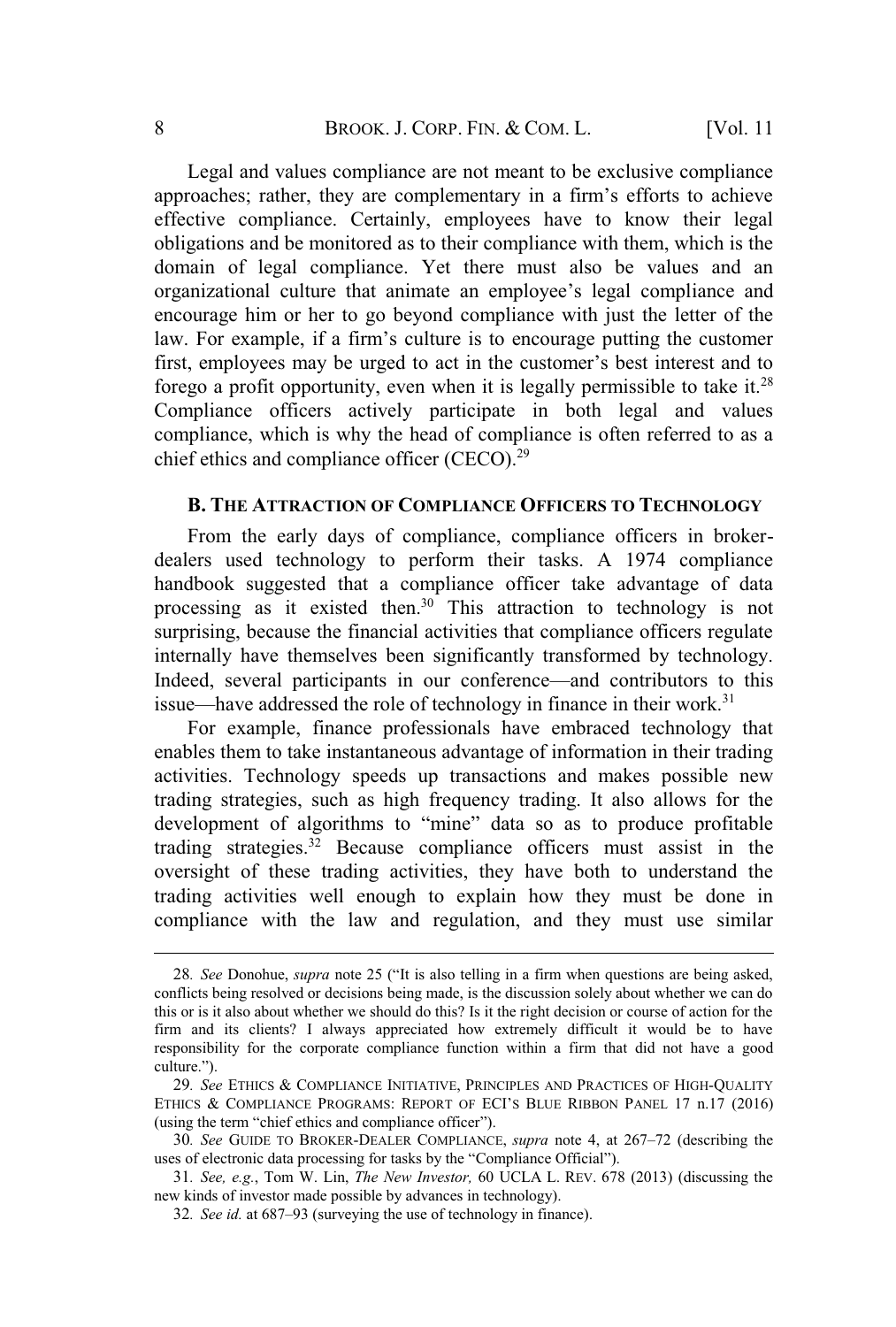Legal and values compliance are not meant to be exclusive compliance approaches; rather, they are complementary in a firm's efforts to achieve effective compliance. Certainly, employees have to know their legal obligations and be monitored as to their compliance with them, which is the domain of legal compliance. Yet there must also be values and an organizational culture that animate an employee's legal compliance and encourage him or her to go beyond compliance with just the letter of the law. For example, if a firm's culture is to encourage putting the customer first, employees may be urged to act in the customer's best interest and to forego a profit opportunity, even when it is legally permissible to take it.<sup>28</sup> Compliance officers actively participate in both legal and values compliance, which is why the head of compliance is often referred to as a chief ethics and compliance officer (CECO).<sup>29</sup>

#### **B. THE ATTRACTION OF COMPLIANCE OFFICERS TO TECHNOLOGY**

From the early days of compliance, compliance officers in brokerdealers used technology to perform their tasks. A 1974 compliance handbook suggested that a compliance officer take advantage of data processing as it existed then.<sup>30</sup> This attraction to technology is not surprising, because the financial activities that compliance officers regulate internally have themselves been significantly transformed by technology. Indeed, several participants in our conference—and contributors to this issue—have addressed the role of technology in finance in their work.<sup>31</sup>

For example, finance professionals have embraced technology that enables them to take instantaneous advantage of information in their trading activities. Technology speeds up transactions and makes possible new trading strategies, such as high frequency trading. It also allows for the development of algorithms to "mine" data so as to produce profitable trading strategies.<sup>32</sup> Because compliance officers must assist in the oversight of these trading activities, they have both to understand the trading activities well enough to explain how they must be done in compliance with the law and regulation, and they must use similar

<sup>28</sup>*. See* Donohue, *supra* note 25 ("It is also telling in a firm when questions are being asked, conflicts being resolved or decisions being made, is the discussion solely about whether we can do this or is it also about whether we should do this? Is it the right decision or course of action for the firm and its clients? I always appreciated how extremely difficult it would be to have responsibility for the corporate compliance function within a firm that did not have a good culture.").

<sup>29</sup>*. See* ETHICS & COMPLIANCE INITIATIVE, PRINCIPLES AND PRACTICES OF HIGH-QUALITY ETHICS & COMPLIANCE PROGRAMS: REPORT OF ECI'<sup>S</sup> BLUE RIBBON PANEL 17 n.17 (2016) (using the term "chief ethics and compliance officer").

<sup>30</sup>*. See* GUIDE TO BROKER-DEALER COMPLIANCE, *supra* note 4, at 267–72 (describing the uses of electronic data processing for tasks by the "Compliance Official").

<sup>31</sup>*. See, e.g.*, Tom W. Lin, *The New Investor,* 60 UCLA L. REV. 678 (2013) (discussing the new kinds of investor made possible by advances in technology).

<sup>32</sup>*. See id.* at 687–93 (surveying the use of technology in finance).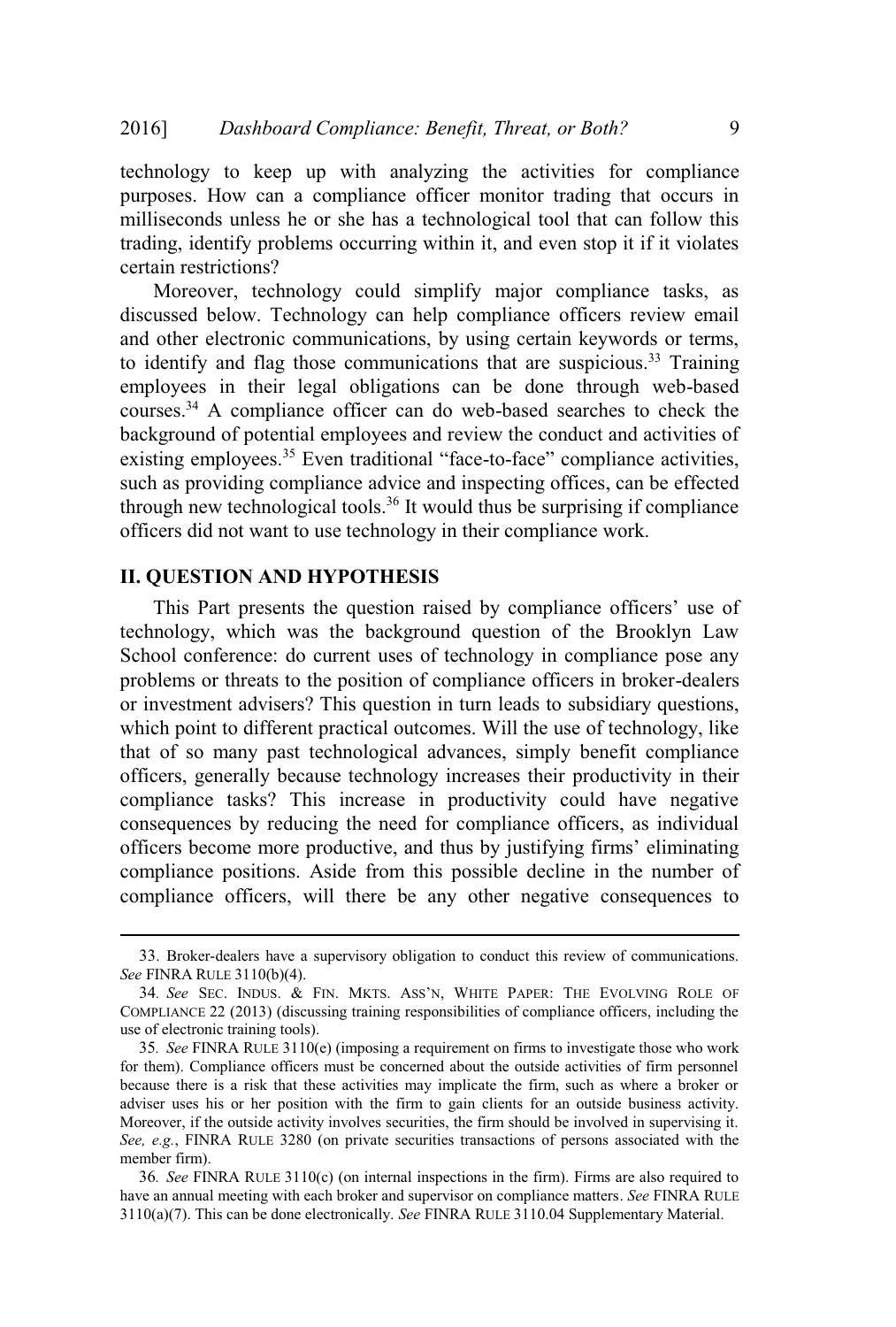technology to keep up with analyzing the activities for compliance purposes. How can a compliance officer monitor trading that occurs in milliseconds unless he or she has a technological tool that can follow this trading, identify problems occurring within it, and even stop it if it violates certain restrictions?

Moreover, technology could simplify major compliance tasks, as discussed below. Technology can help compliance officers review email and other electronic communications, by using certain keywords or terms, to identify and flag those communications that are suspicious.<sup>33</sup> Training employees in their legal obligations can be done through web-based courses.<sup>34</sup> A compliance officer can do web-based searches to check the background of potential employees and review the conduct and activities of existing employees.<sup>35</sup> Even traditional "face-to-face" compliance activities, such as providing compliance advice and inspecting offices, can be effected through new technological tools.<sup>36</sup> It would thus be surprising if compliance officers did not want to use technology in their compliance work.

#### **II. QUESTION AND HYPOTHESIS**

This Part presents the question raised by compliance officers' use of technology, which was the background question of the Brooklyn Law School conference: do current uses of technology in compliance pose any problems or threats to the position of compliance officers in broker-dealers or investment advisers? This question in turn leads to subsidiary questions, which point to different practical outcomes. Will the use of technology, like that of so many past technological advances, simply benefit compliance officers, generally because technology increases their productivity in their compliance tasks? This increase in productivity could have negative consequences by reducing the need for compliance officers, as individual officers become more productive, and thus by justifying firms' eliminating compliance positions. Aside from this possible decline in the number of compliance officers, will there be any other negative consequences to

<sup>33</sup>. Broker-dealers have a supervisory obligation to conduct this review of communications. *See* FINRA RULE 3110(b)(4).

<sup>34</sup>*. See* SEC. INDUS. & FIN. MKTS. ASS'N, WHITE PAPER: THE EVOLVING ROLE OF COMPLIANCE 22 (2013) (discussing training responsibilities of compliance officers, including the use of electronic training tools).

<sup>35</sup>*. See* FINRA RULE 3110(e) (imposing a requirement on firms to investigate those who work for them). Compliance officers must be concerned about the outside activities of firm personnel because there is a risk that these activities may implicate the firm, such as where a broker or adviser uses his or her position with the firm to gain clients for an outside business activity. Moreover, if the outside activity involves securities, the firm should be involved in supervising it. *See, e.g.*, FINRA RULE 3280 (on private securities transactions of persons associated with the member firm).

<sup>36</sup>*. See* FINRA RULE 3110(c) (on internal inspections in the firm). Firms are also required to have an annual meeting with each broker and supervisor on compliance matters. *See* FINRA RULE 3110(a)(7). This can be done electronically. *See* FINRA RULE 3110.04 Supplementary Material.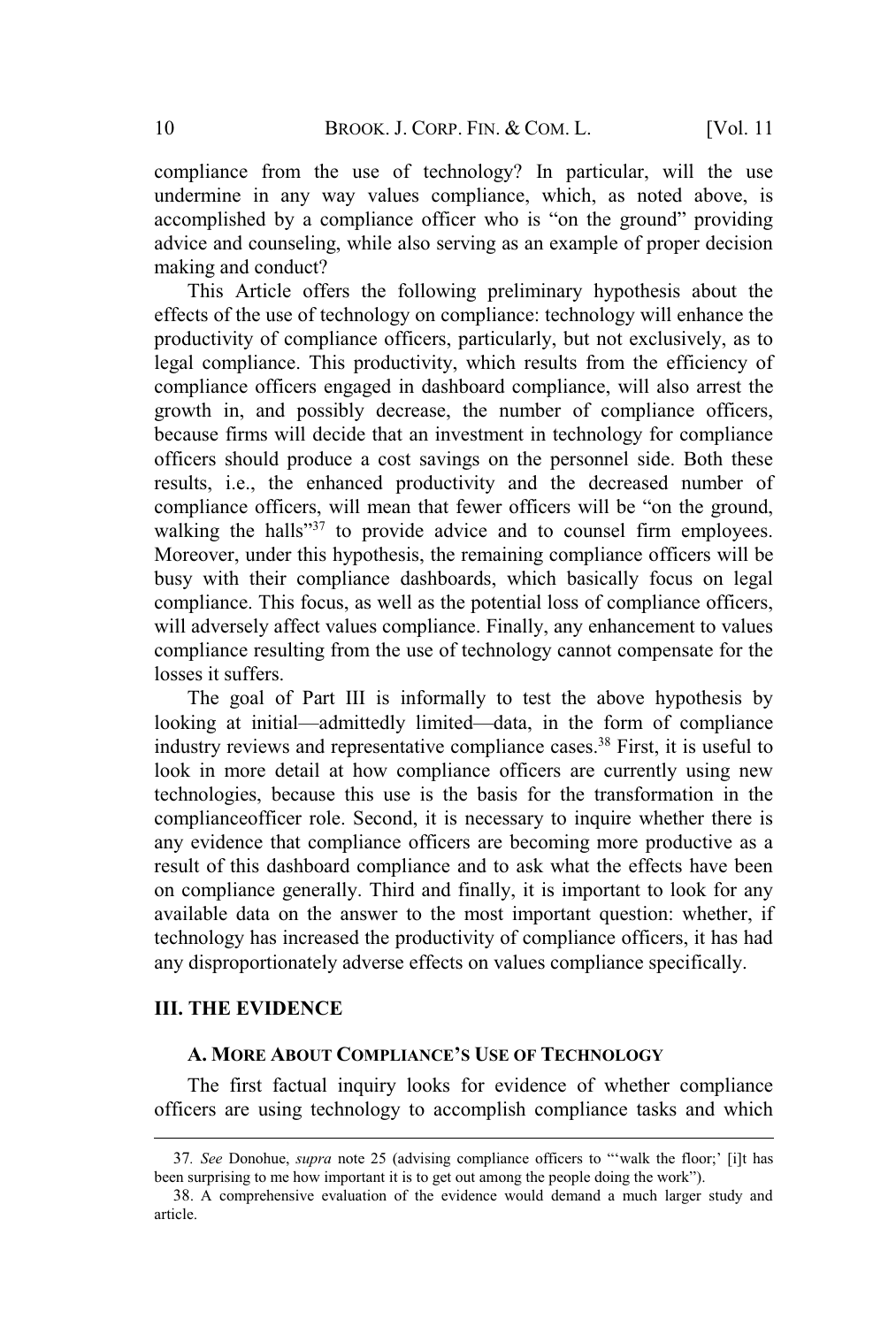compliance from the use of technology? In particular, will the use undermine in any way values compliance, which, as noted above, is accomplished by a compliance officer who is "on the ground" providing advice and counseling, while also serving as an example of proper decision making and conduct?

This Article offers the following preliminary hypothesis about the effects of the use of technology on compliance: technology will enhance the productivity of compliance officers, particularly, but not exclusively, as to legal compliance. This productivity, which results from the efficiency of compliance officers engaged in dashboard compliance, will also arrest the growth in, and possibly decrease, the number of compliance officers, because firms will decide that an investment in technology for compliance officers should produce a cost savings on the personnel side. Both these results, i.e., the enhanced productivity and the decreased number of compliance officers, will mean that fewer officers will be "on the ground, walking the halls"<sup>37</sup> to provide advice and to counsel firm employees. Moreover, under this hypothesis, the remaining compliance officers will be busy with their compliance dashboards, which basically focus on legal compliance. This focus, as well as the potential loss of compliance officers, will adversely affect values compliance. Finally, any enhancement to values compliance resulting from the use of technology cannot compensate for the losses it suffers.

The goal of Part III is informally to test the above hypothesis by looking at initial—admittedly limited—data, in the form of compliance industry reviews and representative compliance cases.<sup>38</sup> First, it is useful to look in more detail at how compliance officers are currently using new technologies, because this use is the basis for the transformation in the complianceofficer role. Second, it is necessary to inquire whether there is any evidence that compliance officers are becoming more productive as a result of this dashboard compliance and to ask what the effects have been on compliance generally. Third and finally, it is important to look for any available data on the answer to the most important question: whether, if technology has increased the productivity of compliance officers, it has had any disproportionately adverse effects on values compliance specifically.

#### **III. THE EVIDENCE**

#### **A. MORE ABOUT COMPLIANCE'<sup>S</sup> USE OF TECHNOLOGY**

The first factual inquiry looks for evidence of whether compliance officers are using technology to accomplish compliance tasks and which

<sup>37</sup>*. See* Donohue, *supra* note 25 (advising compliance officers to "'walk the floor;' [i]t has been surprising to me how important it is to get out among the people doing the work").

<sup>38</sup>. A comprehensive evaluation of the evidence would demand a much larger study and article.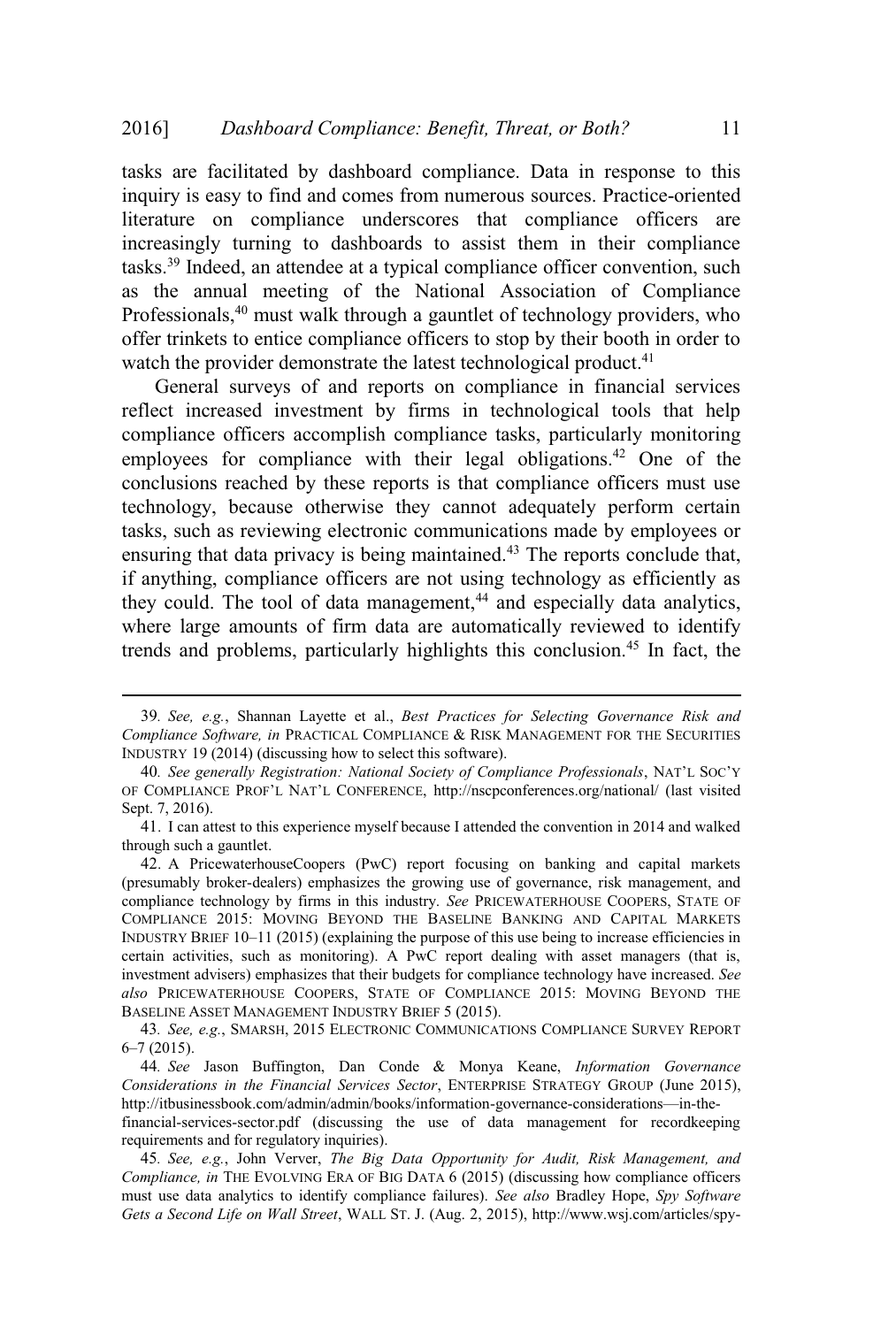tasks are facilitated by dashboard compliance. Data in response to this inquiry is easy to find and comes from numerous sources. Practice-oriented literature on compliance underscores that compliance officers are increasingly turning to dashboards to assist them in their compliance tasks.<sup>39</sup> Indeed, an attendee at a typical compliance officer convention, such as the annual meeting of the National Association of Compliance Professionals,<sup>40</sup> must walk through a gauntlet of technology providers, who offer trinkets to entice compliance officers to stop by their booth in order to watch the provider demonstrate the latest technological product.<sup>41</sup>

General surveys of and reports on compliance in financial services reflect increased investment by firms in technological tools that help compliance officers accomplish compliance tasks, particularly monitoring employees for compliance with their legal obligations.<sup>42</sup> One of the conclusions reached by these reports is that compliance officers must use technology, because otherwise they cannot adequately perform certain tasks, such as reviewing electronic communications made by employees or ensuring that data privacy is being maintained.<sup>43</sup> The reports conclude that, if anything, compliance officers are not using technology as efficiently as they could. The tool of data management,<sup>44</sup> and especially data analytics, where large amounts of firm data are automatically reviewed to identify trends and problems, particularly highlights this conclusion.<sup>45</sup> In fact, the

<sup>39</sup>*. See, e.g.*, Shannan Layette et al., *Best Practices for Selecting Governance Risk and Compliance Software, in* PRACTICAL COMPLIANCE & RISK MANAGEMENT FOR THE SECURITIES INDUSTRY 19 (2014) (discussing how to select this software).

<sup>40</sup>*. See generally Registration: National Society of Compliance Professionals*, NAT'<sup>L</sup> SOC'<sup>Y</sup> OF COMPLIANCE PROF'<sup>L</sup> NAT'<sup>L</sup> CONFERENCE, http://nscpconferences.org/national/ (last visited Sept. 7, 2016).

<sup>41</sup>. I can attest to this experience myself because I attended the convention in 2014 and walked through such a gauntlet.

<sup>42</sup>. A PricewaterhouseCoopers (PwC) report focusing on banking and capital markets (presumably broker-dealers) emphasizes the growing use of governance, risk management, and compliance technology by firms in this industry. *See* PRICEWATERHOUSE COOPERS, STATE OF COMPLIANCE 2015: MOVING BEYOND THE BASELINE BANKING AND CAPITAL MARKETS INDUSTRY BRIEF 10–11 (2015) (explaining the purpose of this use being to increase efficiencies in certain activities, such as monitoring). A PwC report dealing with asset managers (that is, investment advisers) emphasizes that their budgets for compliance technology have increased. *See also* PRICEWATERHOUSE COOPERS, STATE OF COMPLIANCE 2015: MOVING BEYOND THE BASELINE ASSET MANAGEMENT INDUSTRY BRIEF 5 (2015).

<sup>43</sup>*. See, e.g.*, SMARSH, 2015 ELECTRONIC COMMUNICATIONS COMPLIANCE SURVEY REPORT 6–7 (2015).

<sup>44</sup>*. See* Jason Buffington, Dan Conde & Monya Keane, *Information Governance Considerations in the Financial Services Sector*, ENTERPRISE STRATEGY GROUP (June 2015), http://itbusinessbook.com/admin/admin/books/information-governance-considerations—in-thefinancial-services-sector.pdf (discussing the use of data management for recordkeeping requirements and for regulatory inquiries).

<sup>45</sup>*. See, e.g.*, John Verver, *The Big Data Opportunity for Audit, Risk Management, and Compliance, in* THE EVOLVING ERA OF BIG DATA 6 (2015) (discussing how compliance officers must use data analytics to identify compliance failures). *See also* Bradley Hope, *Spy Software Gets a Second Life on Wall Street*, WALL ST. J. (Aug. 2, 2015), http://www.wsj.com/articles/spy-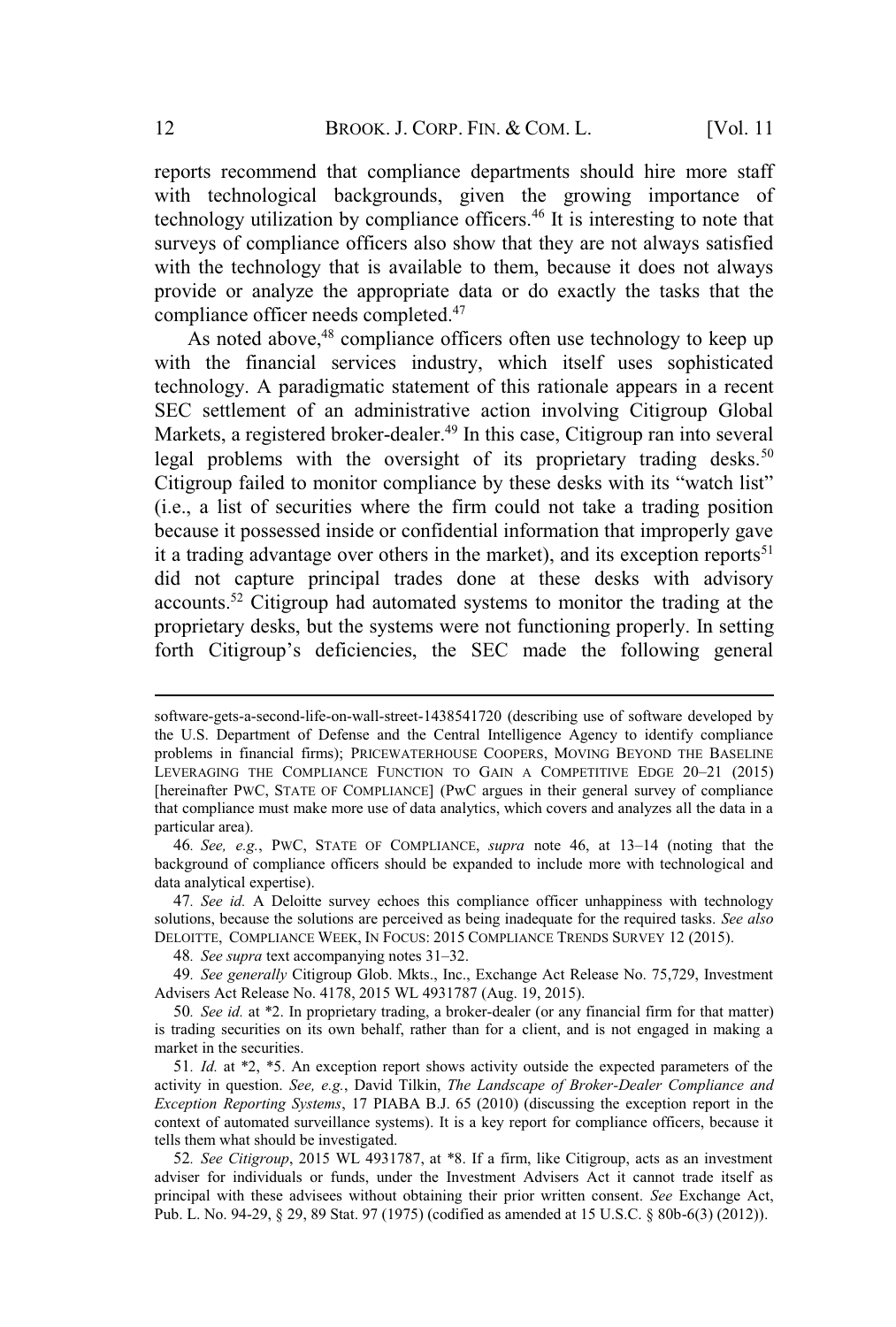reports recommend that compliance departments should hire more staff with technological backgrounds, given the growing importance of technology utilization by compliance officers.<sup>46</sup> It is interesting to note that surveys of compliance officers also show that they are not always satisfied with the technology that is available to them, because it does not always provide or analyze the appropriate data or do exactly the tasks that the compliance officer needs completed.<sup>47</sup>

As noted above,<sup>48</sup> compliance officers often use technology to keep up with the financial services industry, which itself uses sophisticated technology. A paradigmatic statement of this rationale appears in a recent SEC settlement of an administrative action involving Citigroup Global Markets, a registered broker-dealer.<sup>49</sup> In this case, Citigroup ran into several legal problems with the oversight of its proprietary trading desks.<sup>50</sup> Citigroup failed to monitor compliance by these desks with its "watch list" (i.e., a list of securities where the firm could not take a trading position because it possessed inside or confidential information that improperly gave it a trading advantage over others in the market), and its exception reports<sup>51</sup> did not capture principal trades done at these desks with advisory accounts.<sup>52</sup> Citigroup had automated systems to monitor the trading at the proprietary desks, but the systems were not functioning properly. In setting forth Citigroup's deficiencies, the SEC made the following general

software-gets-a-second-life-on-wall-street-1438541720 (describing use of software developed by the U.S. Department of Defense and the Central Intelligence Agency to identify compliance problems in financial firms); PRICEWATERHOUSE COOPERS, MOVING BEYOND THE BASELINE LEVERAGING THE COMPLIANCE FUNCTION TO GAIN <sup>A</sup> COMPETITIVE EDGE 20–21 (2015) [hereinafter PWC, STATE OF COMPLIANCE] (PwC argues in their general survey of compliance that compliance must make more use of data analytics, which covers and analyzes all the data in a particular area).

<sup>46</sup>*. See, e.g.*, PWC, STATE OF COMPLIANCE, *supra* note 46, at 13–14 (noting that the background of compliance officers should be expanded to include more with technological and data analytical expertise).

<sup>47</sup>*. See id.* A Deloitte survey echoes this compliance officer unhappiness with technology solutions, because the solutions are perceived as being inadequate for the required tasks. *See also* DELOITTE, COMPLIANCE WEEK, IN FOCUS: 2015 COMPLIANCE TRENDS SURVEY 12 (2015).

<sup>48</sup>*. See supra* text accompanying notes 31–32.

<sup>49</sup>*. See generally* Citigroup Glob. Mkts., Inc., Exchange Act Release No. 75,729, Investment Advisers Act Release No. 4178, 2015 WL 4931787 (Aug. 19, 2015).

<sup>50</sup>*. See id.* at \*2. In proprietary trading, a broker-dealer (or any financial firm for that matter) is trading securities on its own behalf, rather than for a client, and is not engaged in making a market in the securities.

<sup>51</sup>*. Id.* at \*2, \*5. An exception report shows activity outside the expected parameters of the activity in question. *See, e.g.*, David Tilkin, *The Landscape of Broker-Dealer Compliance and Exception Reporting Systems*, 17 PIABA B.J. 65 (2010) (discussing the exception report in the context of automated surveillance systems). It is a key report for compliance officers, because it tells them what should be investigated.

<sup>52</sup>*. See Citigroup*, 2015 WL 4931787, at \*8. If a firm, like Citigroup, acts as an investment adviser for individuals or funds, under the Investment Advisers Act it cannot trade itself as principal with these advisees without obtaining their prior written consent. *See* Exchange Act, Pub. L. No. 94-29, § 29, 89 Stat. 97 (1975) (codified as amended at 15 U.S.C. § 80b-6(3) (2012)).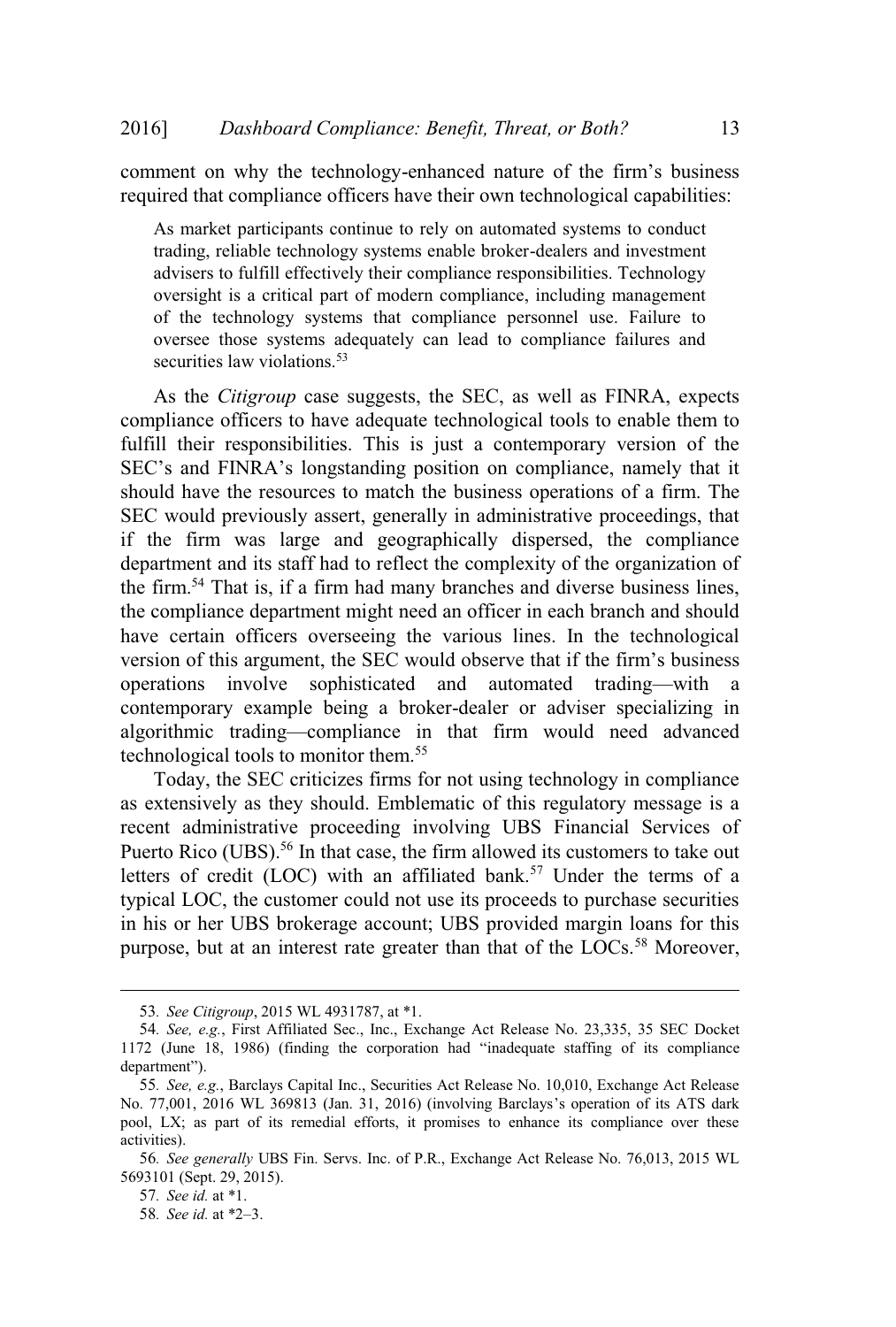comment on why the technology-enhanced nature of the firm's business required that compliance officers have their own technological capabilities:

As market participants continue to rely on automated systems to conduct trading, reliable technology systems enable broker-dealers and investment advisers to fulfill effectively their compliance responsibilities. Technology oversight is a critical part of modern compliance, including management of the technology systems that compliance personnel use. Failure to oversee those systems adequately can lead to compliance failures and securities law violations.<sup>53</sup>

As the *Citigroup* case suggests, the SEC, as well as FINRA, expects compliance officers to have adequate technological tools to enable them to fulfill their responsibilities. This is just a contemporary version of the SEC's and FINRA's longstanding position on compliance, namely that it should have the resources to match the business operations of a firm. The SEC would previously assert, generally in administrative proceedings, that if the firm was large and geographically dispersed, the compliance department and its staff had to reflect the complexity of the organization of the firm.<sup>54</sup> That is, if a firm had many branches and diverse business lines, the compliance department might need an officer in each branch and should have certain officers overseeing the various lines. In the technological version of this argument, the SEC would observe that if the firm's business<br>operations involve sophisticated and automated trading—with a operations involve sophisticated and automated trading—with a contemporary example being a broker-dealer or adviser specializing in algorithmic trading—compliance in that firm would need advanced technological tools to monitor them.<sup>55</sup>

Today, the SEC criticizes firms for not using technology in compliance as extensively as they should. Emblematic of this regulatory message is a recent administrative proceeding involving UBS Financial Services of Puerto Rico (UBS).<sup>56</sup> In that case, the firm allowed its customers to take out letters of credit (LOC) with an affiliated bank.<sup>57</sup> Under the terms of a typical LOC, the customer could not use its proceeds to purchase securities in his or her UBS brokerage account; UBS provided margin loans for this purpose, but at an interest rate greater than that of the LOCs.<sup>58</sup> Moreover,

<sup>53</sup>*. See Citigroup*, 2015 WL 4931787, at \*1.

<sup>54</sup>*. See, e.g.*, First Affiliated Sec., Inc., Exchange Act Release No. 23,335, 35 SEC Docket 1172 (June 18, 1986) (finding the corporation had "inadequate staffing of its compliance department").

<sup>55</sup>*. See, e.g.*, Barclays Capital Inc., Securities Act Release No. 10,010, Exchange Act Release No. 77,001, 2016 WL 369813 (Jan. 31, 2016) (involving Barclays's operation of its ATS dark pool, LX; as part of its remedial efforts, it promises to enhance its compliance over these activities).

<sup>56</sup>*. See generally* UBS Fin. Servs. Inc. of P.R., Exchange Act Release No. 76,013, 2015 WL 5693101 (Sept. 29, 2015).

<sup>57</sup>*. See id.* at \*1.

<sup>58</sup>*. See id.* at \*2–3.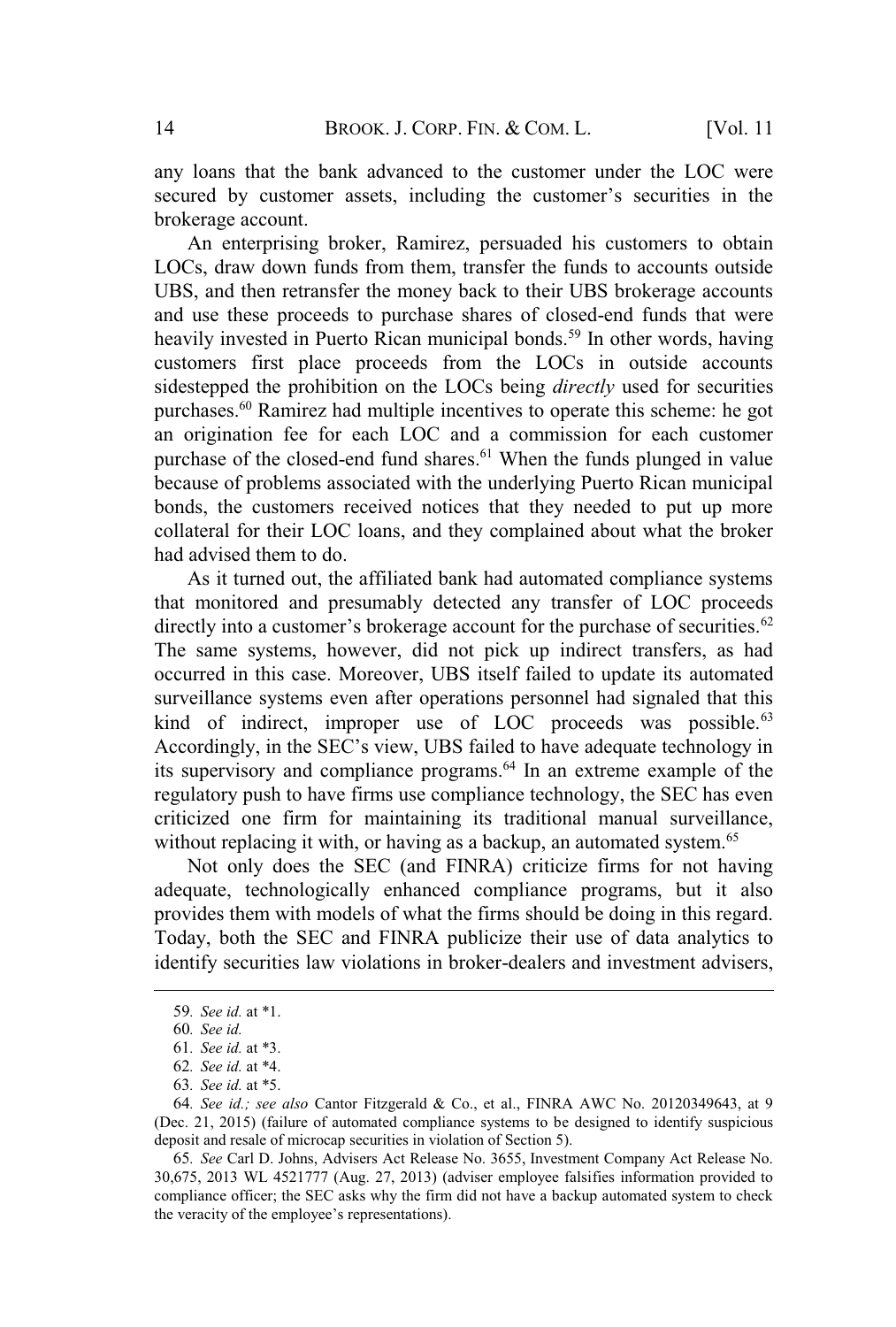any loans that the bank advanced to the customer under the LOC were secured by customer assets, including the customer's securities in the brokerage account.

An enterprising broker, Ramirez, persuaded his customers to obtain LOCs, draw down funds from them, transfer the funds to accounts outside UBS, and then retransfer the money back to their UBS brokerage accounts and use these proceeds to purchase shares of closed-end funds that were heavily invested in Puerto Rican municipal bonds.<sup>59</sup> In other words, having customers first place proceeds from the LOCs in outside accounts sidestepped the prohibition on the LOCs being *directly* used for securities purchases.<sup>60</sup> Ramirez had multiple incentives to operate this scheme: he got an origination fee for each LOC and a commission for each customer purchase of the closed-end fund shares.<sup>61</sup> When the funds plunged in value because of problems associated with the underlying Puerto Rican municipal bonds, the customers received notices that they needed to put up more collateral for their LOC loans, and they complained about what the broker had advised them to do.

As it turned out, the affiliated bank had automated compliance systems that monitored and presumably detected any transfer of LOC proceeds directly into a customer's brokerage account for the purchase of securities.<sup>62</sup> The same systems, however, did not pick up indirect transfers, as had occurred in this case. Moreover, UBS itself failed to update its automated surveillance systems even after operations personnel had signaled that this kind of indirect, improper use of LOC proceeds was possible. $63$ Accordingly, in the SEC's view, UBS failed to have adequate technology in its supervisory and compliance programs.<sup>64</sup> In an extreme example of the regulatory push to have firms use compliance technology, the SEC has even criticized one firm for maintaining its traditional manual surveillance, without replacing it with, or having as a backup, an automated system.<sup>65</sup>

Not only does the SEC (and FINRA) criticize firms for not having adequate, technologically enhanced compliance programs, but it also provides them with models of what the firms should be doing in this regard. Today, both the SEC and FINRA publicize their use of data analytics to identify securities law violations in broker-dealers and investment advisers,

<sup>59</sup>*. See id.* at \*1.

<sup>60</sup>*. See id.*

<sup>61</sup>*. See id.* at \*3.

<sup>62</sup>*. See id.* at \*4.

<sup>63</sup>*. See id.* at \*5.

<sup>64</sup>*. See id.; see also* Cantor Fitzgerald & Co., et al., FINRA AWC No. 20120349643, at 9 (Dec. 21, 2015) (failure of automated compliance systems to be designed to identify suspicious deposit and resale of microcap securities in violation of Section 5).

<sup>65</sup>*. See* Carl D. Johns, Advisers Act Release No. 3655, Investment Company Act Release No. 30,675, 2013 WL 4521777 (Aug. 27, 2013) (adviser employee falsifies information provided to compliance officer; the SEC asks why the firm did not have a backup automated system to check the veracity of the employee's representations).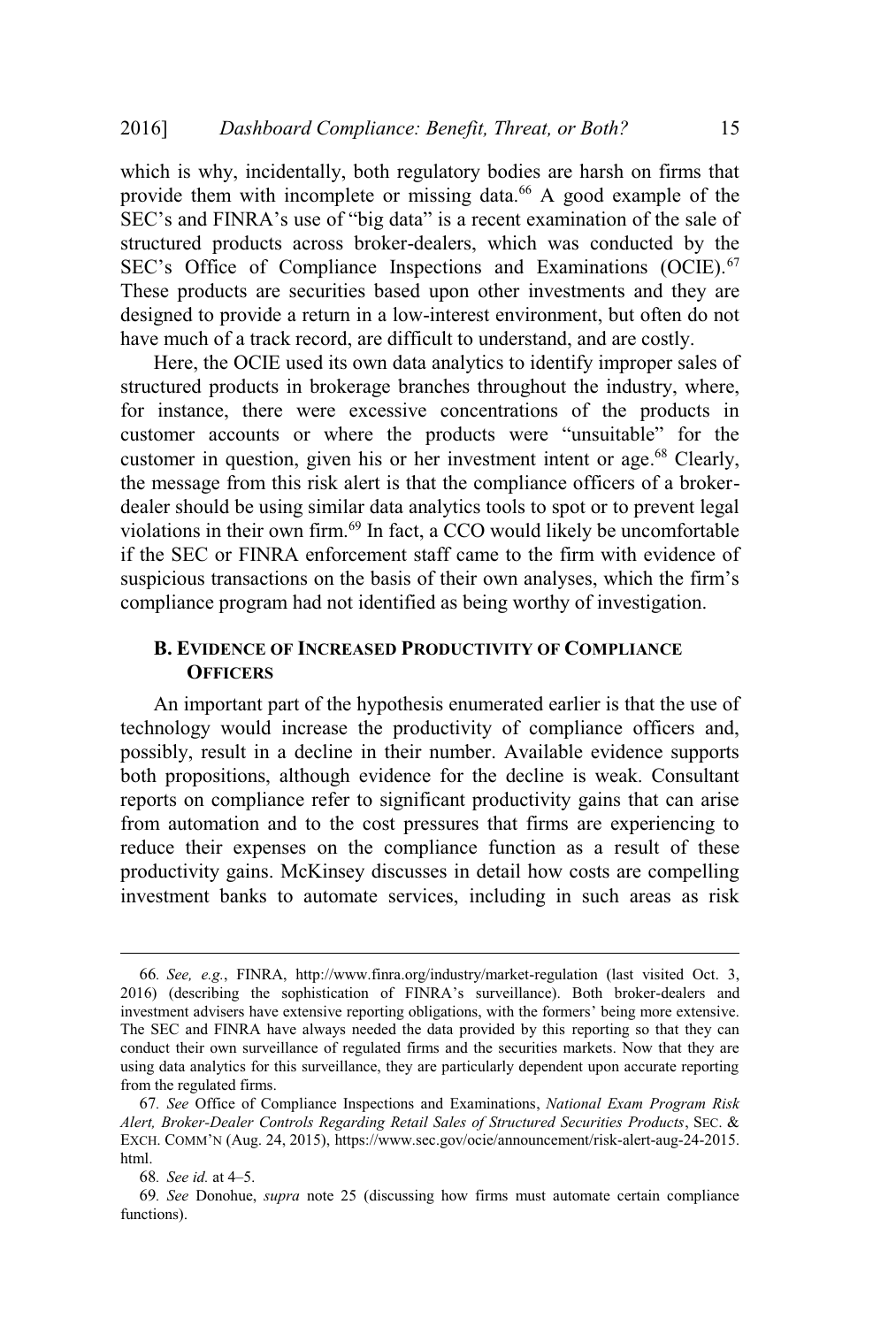which is why, incidentally, both regulatory bodies are harsh on firms that provide them with incomplete or missing data.<sup>66</sup> A good example of the SEC's and FINRA's use of "big data" is a recent examination of the sale of structured products across broker-dealers, which was conducted by the SEC's Office of Compliance Inspections and Examinations (OCIE).<sup>67</sup> These products are securities based upon other investments and they are designed to provide a return in a low-interest environment, but often do not have much of a track record, are difficult to understand, and are costly.

Here, the OCIE used its own data analytics to identify improper sales of structured products in brokerage branches throughout the industry, where, for instance, there were excessive concentrations of the products in customer accounts or where the products were "unsuitable" for the customer in question, given his or her investment intent or age.<sup>68</sup> Clearly, the message from this risk alert is that the compliance officers of a brokerdealer should be using similar data analytics tools to spot or to prevent legal violations in their own firm.<sup>69</sup> In fact, a CCO would likely be uncomfortable if the SEC or FINRA enforcement staff came to the firm with evidence of suspicious transactions on the basis of their own analyses, which the firm's compliance program had not identified as being worthy of investigation.

#### **B. EVIDENCE OF INCREASED PRODUCTIVITY OF COMPLIANCE OFFICERS**

An important part of the hypothesis enumerated earlier is that the use of technology would increase the productivity of compliance officers and, possibly, result in a decline in their number. Available evidence supports both propositions, although evidence for the decline is weak. Consultant reports on compliance refer to significant productivity gains that can arise from automation and to the cost pressures that firms are experiencing to reduce their expenses on the compliance function as a result of these productivity gains. McKinsey discusses in detail how costs are compelling investment banks to automate services, including in such areas as risk

<sup>66</sup>*. See, e.g.*, FINRA, http://www.finra.org/industry/market-regulation (last visited Oct. 3, 2016) (describing the sophistication of FINRA's surveillance). Both broker-dealers and investment advisers have extensive reporting obligations, with the formers' being more extensive. The SEC and FINRA have always needed the data provided by this reporting so that they can conduct their own surveillance of regulated firms and the securities markets. Now that they are using data analytics for this surveillance, they are particularly dependent upon accurate reporting from the regulated firms.

<sup>67</sup>*. See* Office of Compliance Inspections and Examinations, *National Exam Program Risk Alert, Broker-Dealer Controls Regarding Retail Sales of Structured Securities Products*, SEC. & EXCH. COMM'<sup>N</sup> (Aug. 24, 2015), https://www.sec.gov/ocie/announcement/risk-alert-aug-24-2015. html.

<sup>68</sup>*. See id.* at 4–5.

<sup>69</sup>*. See* Donohue, *supra* note 25 (discussing how firms must automate certain compliance functions).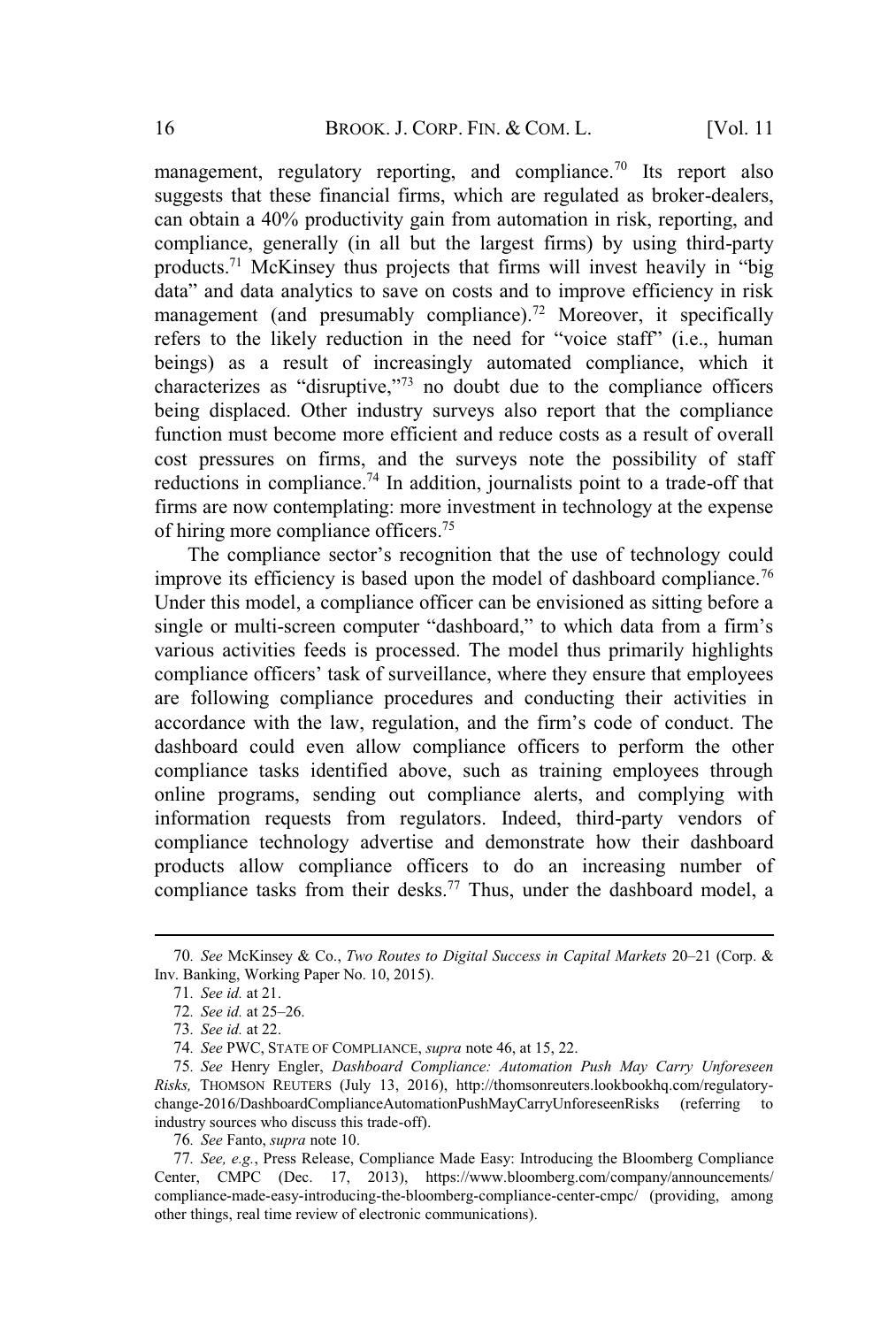management, regulatory reporting, and compliance.<sup>70</sup> Its report also suggests that these financial firms, which are regulated as broker-dealers, can obtain a 40% productivity gain from automation in risk, reporting, and compliance, generally (in all but the largest firms) by using third-party products.<sup>71</sup> McKinsey thus projects that firms will invest heavily in "big data" and data analytics to save on costs and to improve efficiency in risk management (and presumably compliance).<sup>72</sup> Moreover, it specifically refers to the likely reduction in the need for "voice staff" (i.e., human beings) as a result of increasingly automated compliance, which it characterizes as "disruptive,"<sup>73</sup> no doubt due to the compliance officers being displaced. Other industry surveys also report that the compliance function must become more efficient and reduce costs as a result of overall cost pressures on firms, and the surveys note the possibility of staff reductions in compliance.<sup>74</sup> In addition, journalists point to a trade-off that firms are now contemplating: more investment in technology at the expense of hiring more compliance officers.<sup>75</sup>

The compliance sector's recognition that the use of technology could improve its efficiency is based upon the model of dashboard compliance.<sup>76</sup> Under this model, a compliance officer can be envisioned as sitting before a single or multi-screen computer "dashboard," to which data from a firm's various activities feeds is processed. The model thus primarily highlights compliance officers' task of surveillance, where they ensure that employees are following compliance procedures and conducting their activities in accordance with the law, regulation, and the firm's code of conduct. The dashboard could even allow compliance officers to perform the other compliance tasks identified above, such as training employees through online programs, sending out compliance alerts, and complying with information requests from regulators. Indeed, third-party vendors of compliance technology advertise and demonstrate how their dashboard products allow compliance officers to do an increasing number of compliance tasks from their desks.<sup>77</sup> Thus, under the dashboard model, a

<sup>70</sup>*. See* McKinsey & Co., *Two Routes to Digital Success in Capital Markets* 20–21 (Corp. & Inv. Banking, Working Paper No. 10, 2015).

<sup>71</sup>*. See id.* at 21.

<sup>72</sup>*. See id.* at 25–26.

<sup>73</sup>*. See id.* at 22.

<sup>74</sup>*. See* PWC, STATE OF COMPLIANCE, *supra* note 46, at 15, 22.

<sup>75</sup>*. See* Henry Engler, *Dashboard Compliance: Automation Push May Carry Unforeseen Risks,* THOMSON REUTERS (July 13, 2016), http://thomsonreuters.lookbookhq.com/regulatorychange-2016/DashboardComplianceAutomationPushMayCarryUnforeseenRisks (referring to industry sources who discuss this trade-off).

<sup>76</sup>*. See* Fanto, *supra* note 10.

<sup>77</sup>*. See, e.g.*, Press Release, Compliance Made Easy: Introducing the Bloomberg Compliance Center, CMPC (Dec. 17, 2013), https://www.bloomberg.com/company/announcements/ compliance-made-easy-introducing-the-bloomberg-compliance-center-cmpc/ (providing, among other things, real time review of electronic communications).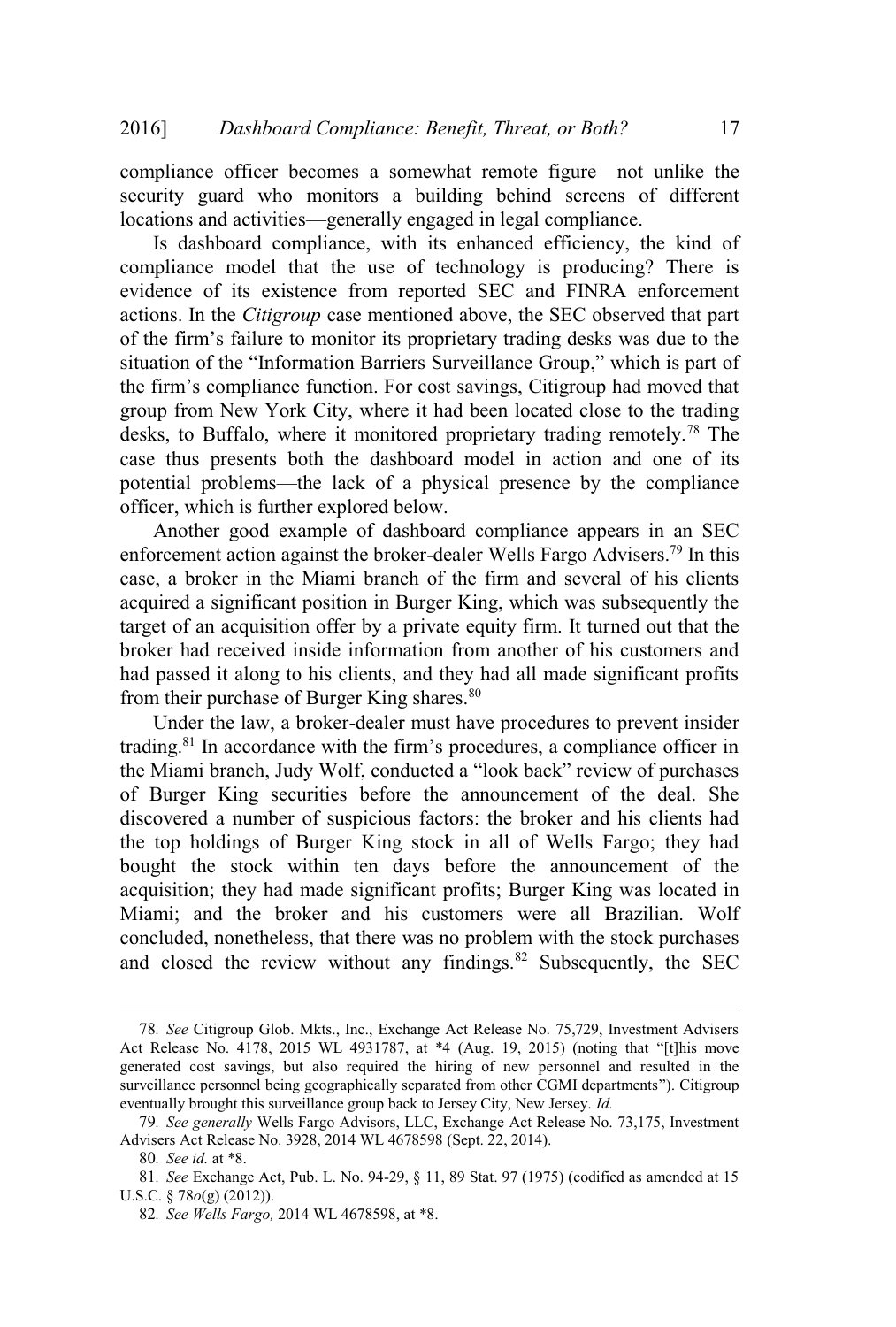compliance officer becomes a somewhat remote figure—not unlike the security guard who monitors a building behind screens of different locations and activities—generally engaged in legal compliance.

Is dashboard compliance, with its enhanced efficiency, the kind of compliance model that the use of technology is producing? There is evidence of its existence from reported SEC and FINRA enforcement actions. In the *Citigroup* case mentioned above, the SEC observed that part of the firm's failure to monitor its proprietary trading desks was due to the situation of the "Information Barriers Surveillance Group," which is part of the firm's compliance function. For cost savings, Citigroup had moved that group from New York City, where it had been located close to the trading desks, to Buffalo, where it monitored proprietary trading remotely.<sup>78</sup> The case thus presents both the dashboard model in action and one of its potential problems—the lack of a physical presence by the compliance officer, which is further explored below.

Another good example of dashboard compliance appears in an SEC enforcement action against the broker-dealer Wells Fargo Advisers.<sup>79</sup> In this case, a broker in the Miami branch of the firm and several of his clients acquired a significant position in Burger King, which was subsequently the target of an acquisition offer by a private equity firm. It turned out that the broker had received inside information from another of his customers and had passed it along to his clients, and they had all made significant profits from their purchase of Burger King shares.<sup>80</sup>

Under the law, a broker-dealer must have procedures to prevent insider trading.<sup>81</sup> In accordance with the firm's procedures, a compliance officer in the Miami branch, Judy Wolf, conducted a "look back" review of purchases of Burger King securities before the announcement of the deal. She discovered a number of suspicious factors: the broker and his clients had the top holdings of Burger King stock in all of Wells Fargo; they had bought the stock within ten days before the announcement of the acquisition; they had made significant profits; Burger King was located in Miami; and the broker and his customers were all Brazilian. Wolf concluded, nonetheless, that there was no problem with the stock purchases and closed the review without any findings. $82$  Subsequently, the SEC

<sup>78</sup>*. See* Citigroup Glob. Mkts., Inc., Exchange Act Release No. 75,729, Investment Advisers Act Release No. 4178, 2015 WL 4931787, at \*4 (Aug. 19, 2015) (noting that "[t]his move generated cost savings, but also required the hiring of new personnel and resulted in the surveillance personnel being geographically separated from other CGMI departments"). Citigroup eventually brought this surveillance group back to Jersey City, New Jersey. *Id.*

<sup>79</sup>*. See generally* Wells Fargo Advisors, LLC, Exchange Act Release No. 73,175, Investment Advisers Act Release No. 3928, 2014 WL 4678598 (Sept. 22, 2014).

<sup>80</sup>*. See id.* at \*8.

<sup>81</sup>*. See* Exchange Act, Pub. L. No. 94-29, § 11, 89 Stat. 97 (1975) (codified as amended at 15 U.S.C. § 78*o*(g) (2012)).

<sup>82</sup>*. See Wells Fargo,* 2014 WL 4678598, at \*8.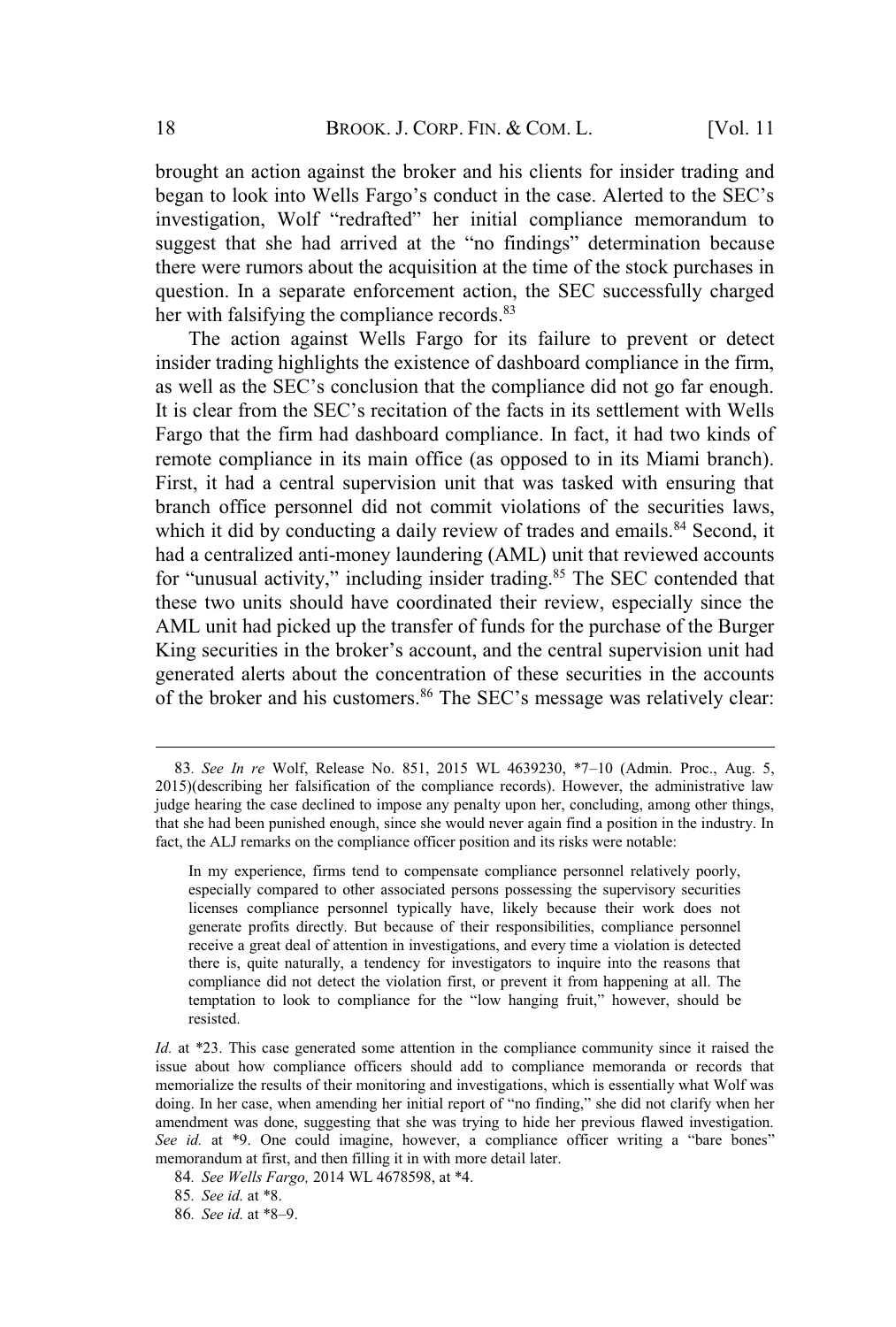brought an action against the broker and his clients for insider trading and began to look into Wells Fargo's conduct in the case. Alerted to the SEC's investigation, Wolf "redrafted" her initial compliance memorandum to suggest that she had arrived at the "no findings" determination because there were rumors about the acquisition at the time of the stock purchases in question. In a separate enforcement action, the SEC successfully charged her with falsifying the compliance records.<sup>83</sup>

The action against Wells Fargo for its failure to prevent or detect insider trading highlights the existence of dashboard compliance in the firm, as well as the SEC's conclusion that the compliance did not go far enough. It is clear from the SEC's recitation of the facts in its settlement with Wells Fargo that the firm had dashboard compliance. In fact, it had two kinds of remote compliance in its main office (as opposed to in its Miami branch). First, it had a central supervision unit that was tasked with ensuring that branch office personnel did not commit violations of the securities laws, which it did by conducting a daily review of trades and emails.<sup>84</sup> Second, it had a centralized anti-money laundering (AML) unit that reviewed accounts for "unusual activity," including insider trading.<sup>85</sup> The SEC contended that these two units should have coordinated their review, especially since the AML unit had picked up the transfer of funds for the purchase of the Burger King securities in the broker's account, and the central supervision unit had generated alerts about the concentration of these securities in the accounts of the broker and his customers.<sup>86</sup> The SEC's message was relatively clear:

86*. See id.* at \*8–9.

<sup>83</sup>*. See In re* Wolf, Release No. 851, 2015 WL 4639230, \*7–10 (Admin. Proc., Aug. 5, 2015)(describing her falsification of the compliance records). However, the administrative law judge hearing the case declined to impose any penalty upon her, concluding, among other things, that she had been punished enough, since she would never again find a position in the industry. In fact, the ALJ remarks on the compliance officer position and its risks were notable:

In my experience, firms tend to compensate compliance personnel relatively poorly, especially compared to other associated persons possessing the supervisory securities licenses compliance personnel typically have, likely because their work does not generate profits directly. But because of their responsibilities, compliance personnel receive a great deal of attention in investigations, and every time a violation is detected there is, quite naturally, a tendency for investigators to inquire into the reasons that compliance did not detect the violation first, or prevent it from happening at all. The temptation to look to compliance for the "low hanging fruit," however, should be resisted.

*Id.* at \*23. This case generated some attention in the compliance community since it raised the issue about how compliance officers should add to compliance memoranda or records that memorialize the results of their monitoring and investigations, which is essentially what Wolf was doing. In her case, when amending her initial report of "no finding," she did not clarify when her amendment was done, suggesting that she was trying to hide her previous flawed investigation. *See id.* at \*9. One could imagine, however, a compliance officer writing a "bare bones" memorandum at first, and then filling it in with more detail later.

<sup>84</sup>*. See Wells Fargo,* 2014 WL 4678598, at \*4.

<sup>85</sup>*. See id.* at \*8.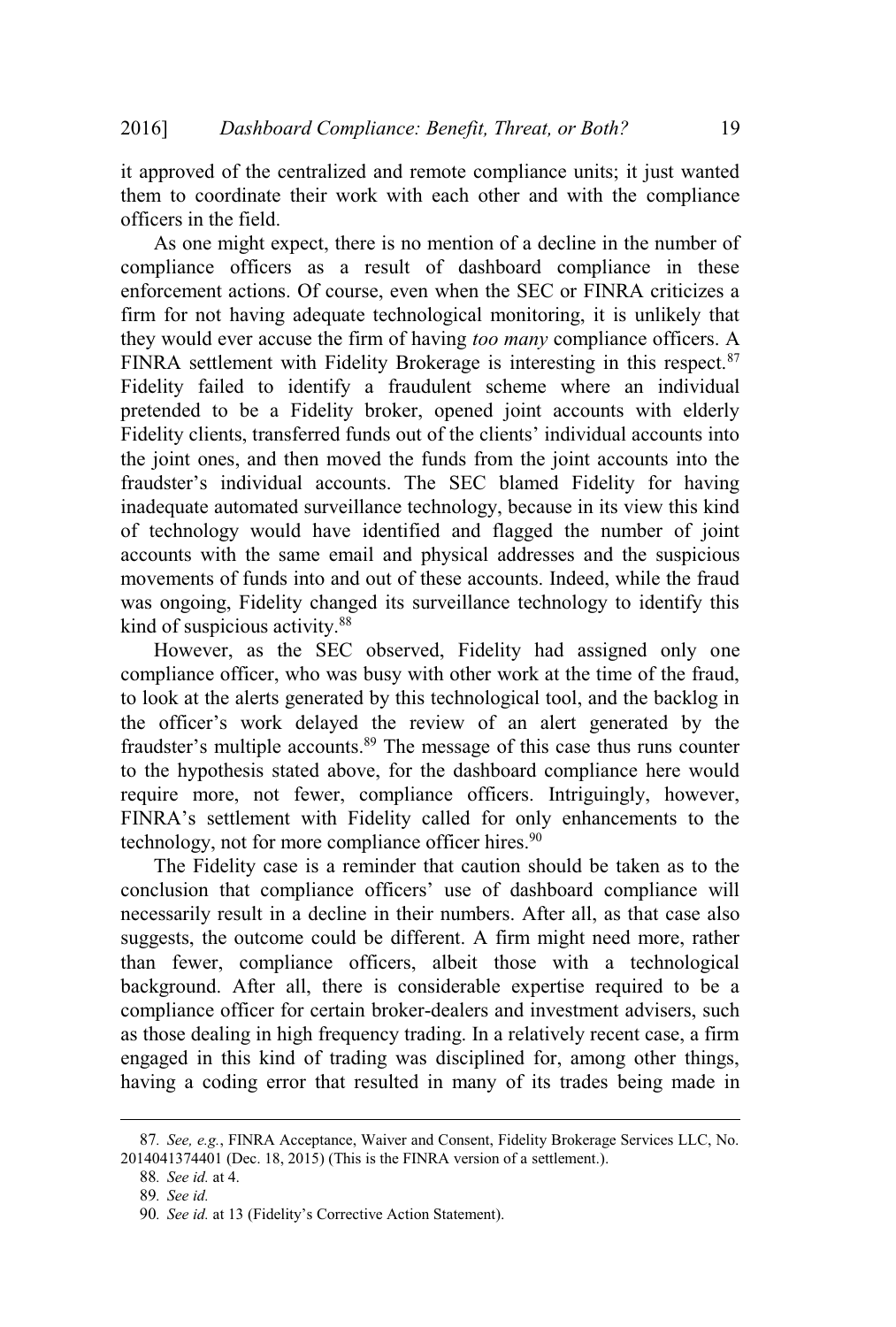it approved of the centralized and remote compliance units; it just wanted them to coordinate their work with each other and with the compliance officers in the field.

As one might expect, there is no mention of a decline in the number of compliance officers as a result of dashboard compliance in these enforcement actions. Of course, even when the SEC or FINRA criticizes a firm for not having adequate technological monitoring, it is unlikely that they would ever accuse the firm of having *too many* compliance officers. A FINRA settlement with Fidelity Brokerage is interesting in this respect.<sup>87</sup> Fidelity failed to identify a fraudulent scheme where an individual pretended to be a Fidelity broker, opened joint accounts with elderly Fidelity clients, transferred funds out of the clients' individual accounts into the joint ones, and then moved the funds from the joint accounts into the fraudster's individual accounts. The SEC blamed Fidelity for having inadequate automated surveillance technology, because in its view this kind of technology would have identified and flagged the number of joint accounts with the same email and physical addresses and the suspicious movements of funds into and out of these accounts. Indeed, while the fraud was ongoing, Fidelity changed its surveillance technology to identify this kind of suspicious activity.<sup>88</sup>

However, as the SEC observed, Fidelity had assigned only one compliance officer, who was busy with other work at the time of the fraud, to look at the alerts generated by this technological tool, and the backlog in the officer's work delayed the review of an alert generated by the fraudster's multiple accounts.<sup>89</sup> The message of this case thus runs counter to the hypothesis stated above, for the dashboard compliance here would require more, not fewer, compliance officers. Intriguingly, however, FINRA's settlement with Fidelity called for only enhancements to the technology, not for more compliance officer hires.<sup>90</sup>

The Fidelity case is a reminder that caution should be taken as to the conclusion that compliance officers' use of dashboard compliance will necessarily result in a decline in their numbers. After all, as that case also suggests, the outcome could be different. A firm might need more, rather than fewer, compliance officers, albeit those with a technological background. After all, there is considerable expertise required to be a compliance officer for certain broker-dealers and investment advisers, such as those dealing in high frequency trading. In a relatively recent case, a firm engaged in this kind of trading was disciplined for, among other things, having a coding error that resulted in many of its trades being made in

<sup>87</sup>*. See, e.g.*, FINRA Acceptance, Waiver and Consent, Fidelity Brokerage Services LLC, No. 2014041374401 (Dec. 18, 2015) (This is the FINRA version of a settlement.).

<sup>88</sup>*. See id.* at 4.

<sup>89</sup>*. See id.*

<sup>90</sup>*. See id.* at 13 (Fidelity's Corrective Action Statement).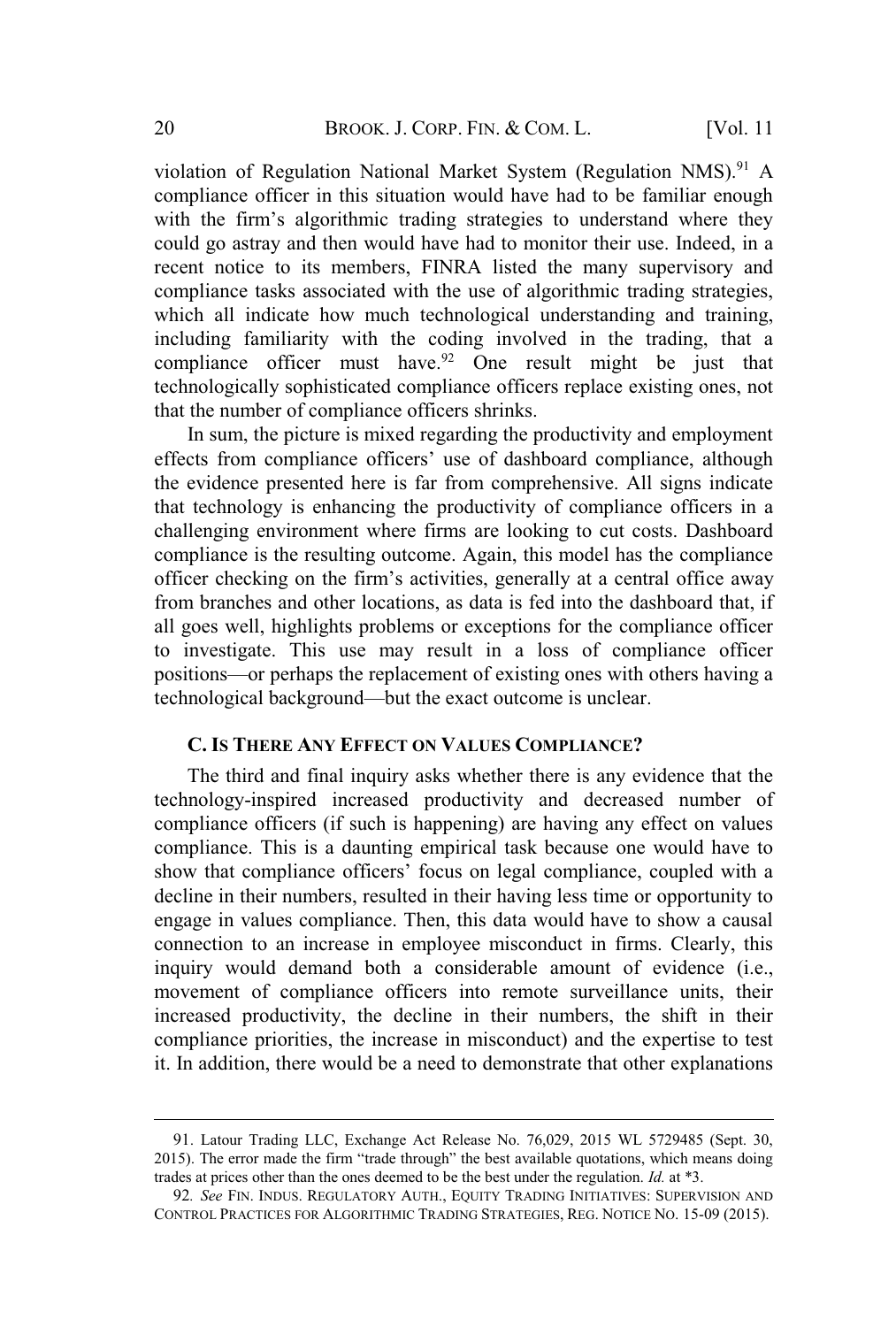violation of Regulation National Market System (Regulation NMS).<sup>91</sup> A compliance officer in this situation would have had to be familiar enough with the firm's algorithmic trading strategies to understand where they could go astray and then would have had to monitor their use. Indeed, in a recent notice to its members, FINRA listed the many supervisory and compliance tasks associated with the use of algorithmic trading strategies, which all indicate how much technological understanding and training, including familiarity with the coding involved in the trading, that a compliance officer must have.<sup>92</sup> One result might be just that technologically sophisticated compliance officers replace existing ones, not that the number of compliance officers shrinks.

In sum, the picture is mixed regarding the productivity and employment effects from compliance officers' use of dashboard compliance, although the evidence presented here is far from comprehensive. All signs indicate that technology is enhancing the productivity of compliance officers in a challenging environment where firms are looking to cut costs. Dashboard compliance is the resulting outcome. Again, this model has the compliance officer checking on the firm's activities, generally at a central office away from branches and other locations, as data is fed into the dashboard that, if all goes well, highlights problems or exceptions for the compliance officer to investigate. This use may result in a loss of compliance officer positions—or perhaps the replacement of existing ones with others having a technological background—but the exact outcome is unclear.

#### **C. IS THERE ANY EFFECT ON VALUES COMPLIANCE?**

The third and final inquiry asks whether there is any evidence that the technology-inspired increased productivity and decreased number of compliance officers (if such is happening) are having any effect on values compliance. This is a daunting empirical task because one would have to show that compliance officers' focus on legal compliance, coupled with a decline in their numbers, resulted in their having less time or opportunity to engage in values compliance. Then, this data would have to show a causal connection to an increase in employee misconduct in firms. Clearly, this inquiry would demand both a considerable amount of evidence (i.e., movement of compliance officers into remote surveillance units, their increased productivity, the decline in their numbers, the shift in their compliance priorities, the increase in misconduct) and the expertise to test it. In addition, there would be a need to demonstrate that other explanations

<sup>91</sup>. Latour Trading LLC, Exchange Act Release No. 76,029, 2015 WL 5729485 (Sept. 30, 2015). The error made the firm "trade through" the best available quotations, which means doing trades at prices other than the ones deemed to be the best under the regulation. *Id.* at \*3.

<sup>92</sup>*. See* FIN. INDUS. REGULATORY AUTH., EQUITY TRADING INITIATIVES: SUPERVISION AND CONTROL PRACTICES FOR ALGORITHMIC TRADING STRATEGIES, REG. NOTICE NO. 15-09 (2015).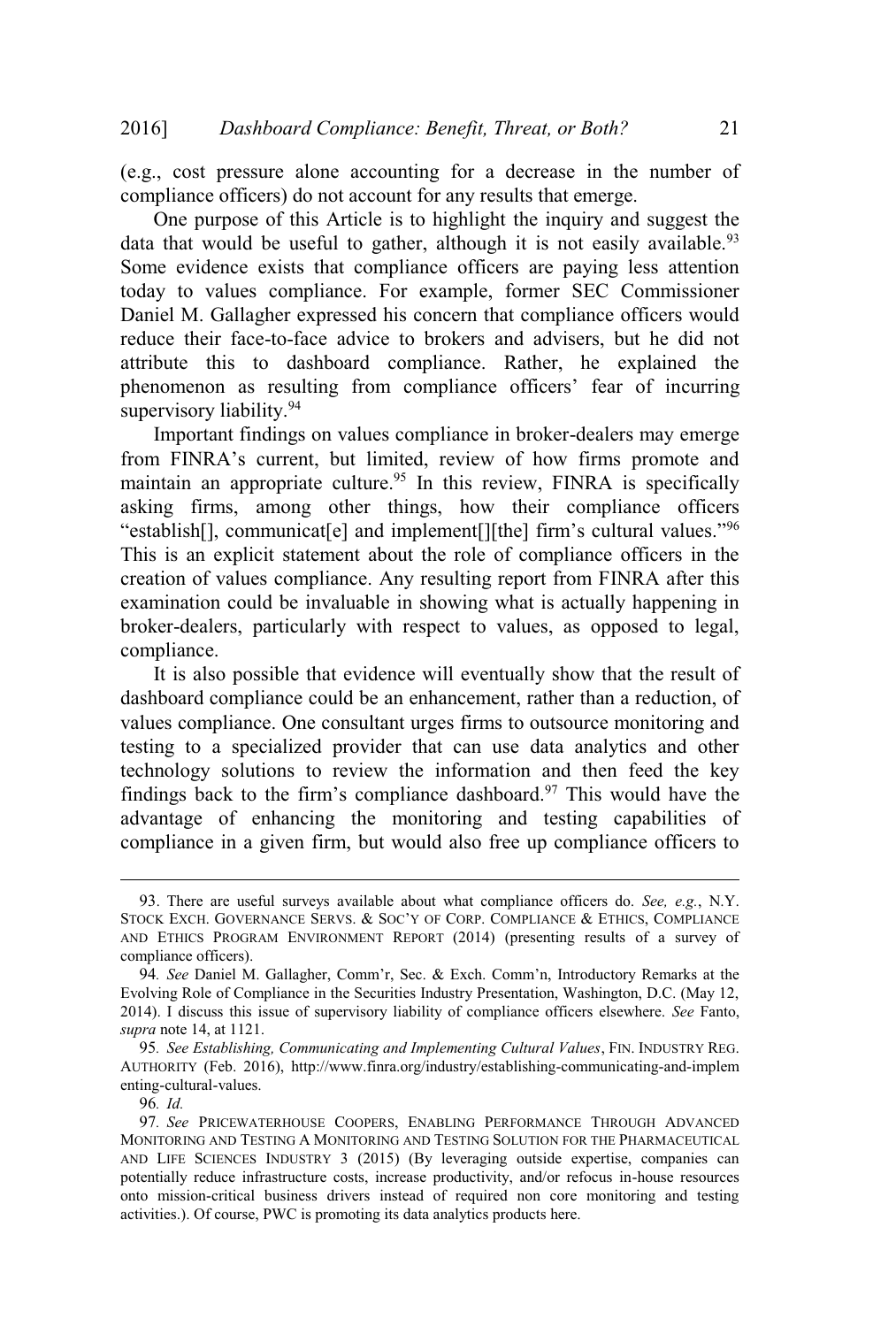(e.g., cost pressure alone accounting for a decrease in the number of compliance officers) do not account for any results that emerge.

One purpose of this Article is to highlight the inquiry and suggest the data that would be useful to gather, although it is not easily available.<sup>93</sup> Some evidence exists that compliance officers are paying less attention today to values compliance. For example, former SEC Commissioner Daniel M. Gallagher expressed his concern that compliance officers would reduce their face-to-face advice to brokers and advisers, but he did not attribute this to dashboard compliance. Rather, he explained the phenomenon as resulting from compliance officers' fear of incurring supervisory liability.<sup>94</sup>

Important findings on values compliance in broker-dealers may emerge from FINRA's current, but limited, review of how firms promote and maintain an appropriate culture.<sup>95</sup> In this review, FINRA is specifically asking firms, among other things, how their compliance officers "establish[], communicat[e] and implement[][the] firm's cultural values."<sup>96</sup> This is an explicit statement about the role of compliance officers in the creation of values compliance. Any resulting report from FINRA after this examination could be invaluable in showing what is actually happening in broker-dealers, particularly with respect to values, as opposed to legal, compliance.

It is also possible that evidence will eventually show that the result of dashboard compliance could be an enhancement, rather than a reduction, of values compliance. One consultant urges firms to outsource monitoring and testing to a specialized provider that can use data analytics and other technology solutions to review the information and then feed the key findings back to the firm's compliance dashboard. $97$  This would have the advantage of enhancing the monitoring and testing capabilities of compliance in a given firm, but would also free up compliance officers to

<sup>93</sup>. There are useful surveys available about what compliance officers do. *See, e.g.*, N.Y. STOCK EXCH. GOVERNANCE SERVS. & SOC'<sup>Y</sup> OF CORP. COMPLIANCE & ETHICS, COMPLIANCE AND ETHICS PROGRAM ENVIRONMENT REPORT (2014) (presenting results of a survey of compliance officers).

<sup>94</sup>*. See* Daniel M. Gallagher, Comm'r, Sec. & Exch. Comm'n, Introductory Remarks at the Evolving Role of Compliance in the Securities Industry Presentation, Washington, D.C. (May 12, 2014). I discuss this issue of supervisory liability of compliance officers elsewhere. *See* Fanto, *supra* note 14, at 1121.

<sup>95</sup>*. See Establishing, Communicating and Implementing Cultural Values*, FIN. INDUSTRY REG. AUTHORITY (Feb. 2016), http://www.finra.org/industry/establishing-communicating-and-implem enting-cultural-values.

<sup>96</sup>*. Id.*

<sup>97</sup>*. See* PRICEWATERHOUSE COOPERS, ENABLING PERFORMANCE THROUGH ADVANCED MONITORING AND TESTING A MONITORING AND TESTING SOLUTION FOR THE PHARMACEUTICAL AND LIFE SCIENCES INDUSTRY 3 (2015) (By leveraging outside expertise, companies can potentially reduce infrastructure costs, increase productivity, and/or refocus in-house resources onto mission-critical business drivers instead of required non core monitoring and testing activities.). Of course, PWC is promoting its data analytics products here.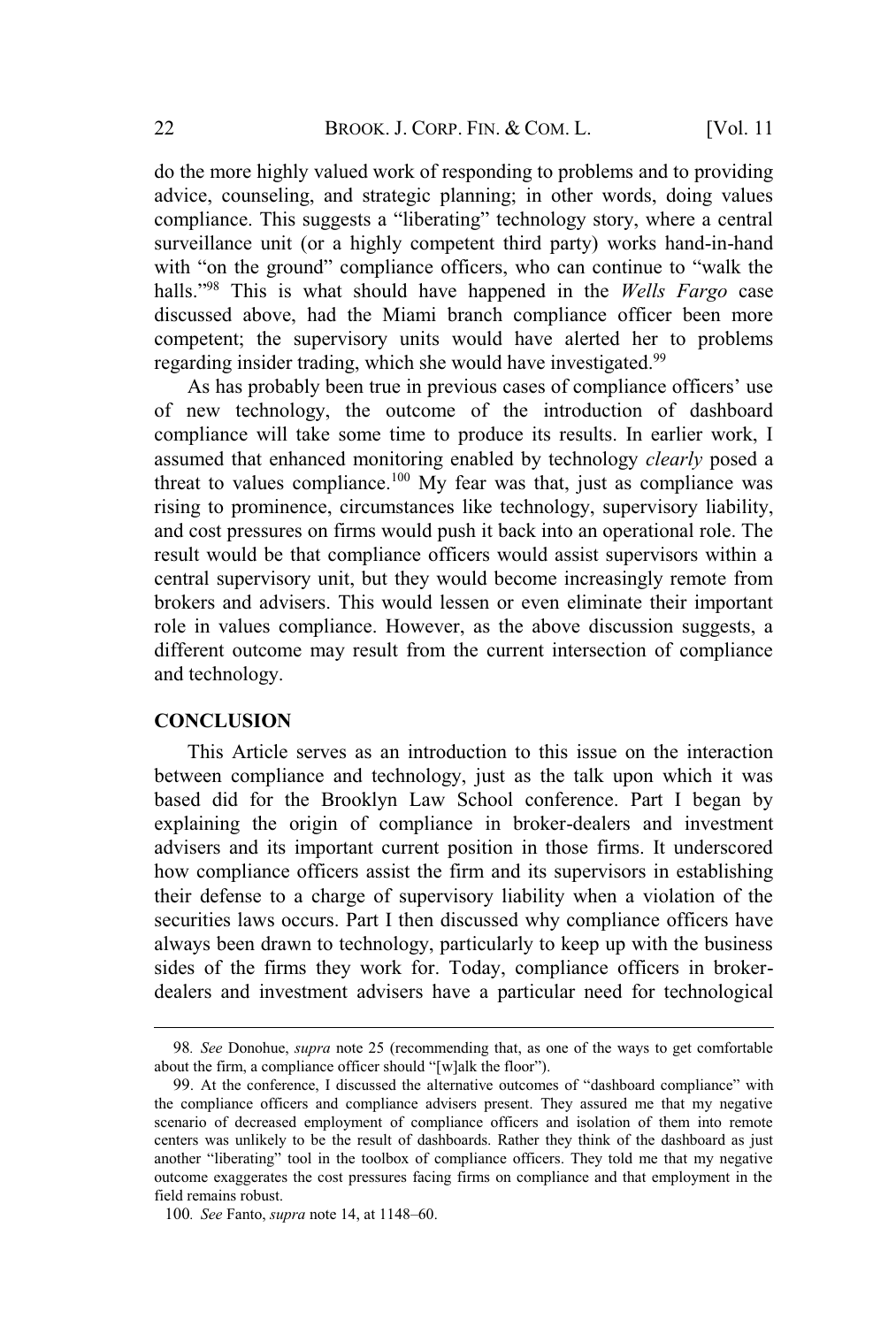do the more highly valued work of responding to problems and to providing advice, counseling, and strategic planning; in other words, doing values compliance. This suggests a "liberating" technology story, where a central surveillance unit (or a highly competent third party) works hand-in-hand with "on the ground" compliance officers, who can continue to "walk the halls."<sup>98</sup> This is what should have happened in the *Wells Fargo* case discussed above, had the Miami branch compliance officer been more competent; the supervisory units would have alerted her to problems regarding insider trading, which she would have investigated.<sup>99</sup>

As has probably been true in previous cases of compliance officers' use of new technology, the outcome of the introduction of dashboard compliance will take some time to produce its results. In earlier work, I assumed that enhanced monitoring enabled by technology *clearly* posed a threat to values compliance.<sup>100</sup> My fear was that, just as compliance was rising to prominence, circumstances like technology, supervisory liability, and cost pressures on firms would push it back into an operational role. The result would be that compliance officers would assist supervisors within a central supervisory unit, but they would become increasingly remote from brokers and advisers. This would lessen or even eliminate their important role in values compliance. However, as the above discussion suggests, a different outcome may result from the current intersection of compliance and technology.

#### **CONCLUSION**

This Article serves as an introduction to this issue on the interaction between compliance and technology, just as the talk upon which it was based did for the Brooklyn Law School conference. Part I began by explaining the origin of compliance in broker-dealers and investment advisers and its important current position in those firms. It underscored how compliance officers assist the firm and its supervisors in establishing their defense to a charge of supervisory liability when a violation of the securities laws occurs. Part I then discussed why compliance officers have always been drawn to technology, particularly to keep up with the business sides of the firms they work for. Today, compliance officers in brokerdealers and investment advisers have a particular need for technological

<sup>98</sup>*. See* Donohue, *supra* note 25 (recommending that, as one of the ways to get comfortable about the firm, a compliance officer should "[w]alk the floor").

<sup>99</sup>. At the conference, I discussed the alternative outcomes of "dashboard compliance" with the compliance officers and compliance advisers present. They assured me that my negative scenario of decreased employment of compliance officers and isolation of them into remote centers was unlikely to be the result of dashboards. Rather they think of the dashboard as just another "liberating" tool in the toolbox of compliance officers. They told me that my negative outcome exaggerates the cost pressures facing firms on compliance and that employment in the field remains robust.

<sup>100</sup>*. See* Fanto, *supra* note 14, at 1148–60.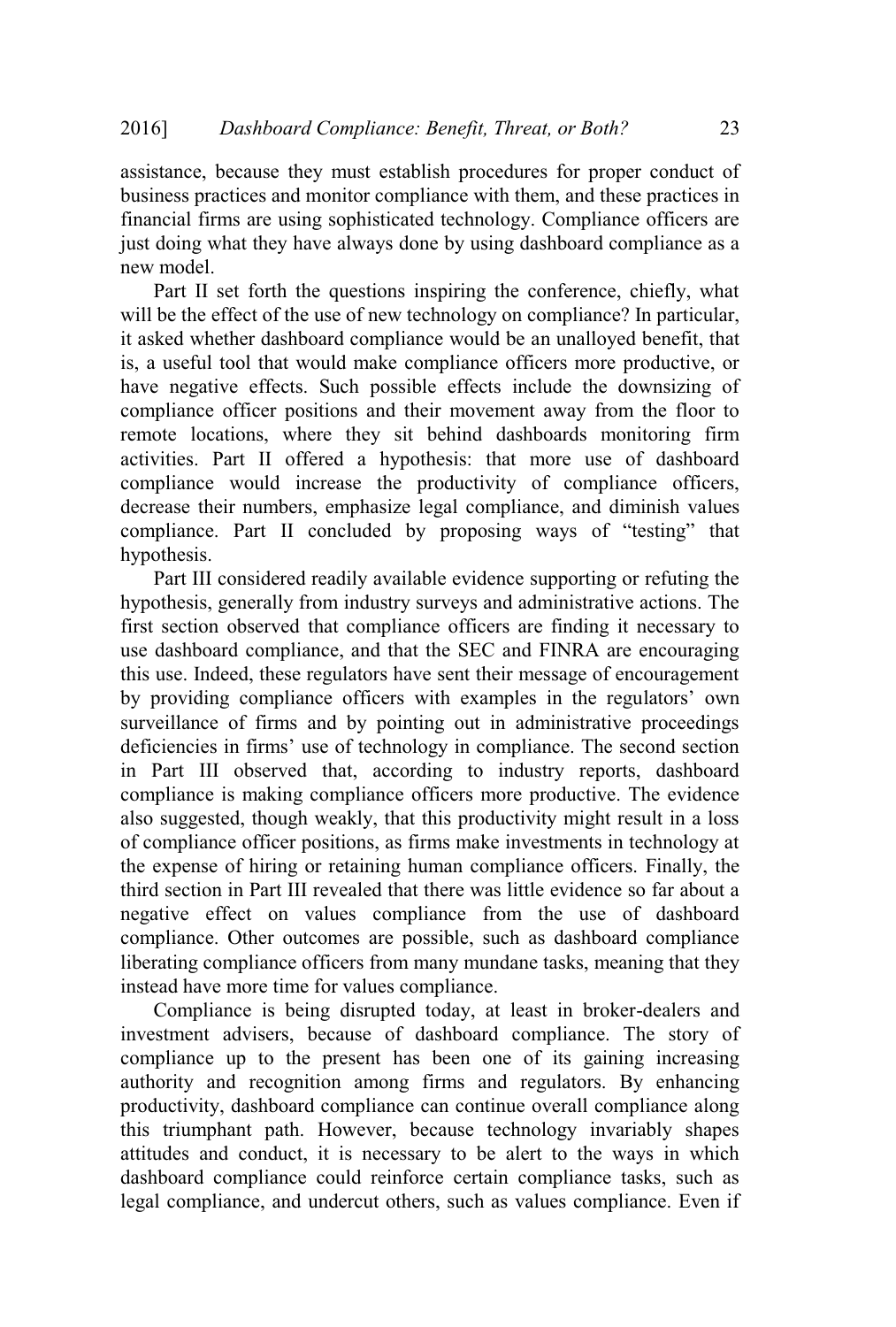assistance, because they must establish procedures for proper conduct of business practices and monitor compliance with them, and these practices in financial firms are using sophisticated technology. Compliance officers are just doing what they have always done by using dashboard compliance as a new model.

Part II set forth the questions inspiring the conference, chiefly, what will be the effect of the use of new technology on compliance? In particular, it asked whether dashboard compliance would be an unalloyed benefit, that is, a useful tool that would make compliance officers more productive, or have negative effects. Such possible effects include the downsizing of compliance officer positions and their movement away from the floor to remote locations, where they sit behind dashboards monitoring firm activities. Part II offered a hypothesis: that more use of dashboard compliance would increase the productivity of compliance officers, decrease their numbers, emphasize legal compliance, and diminish values compliance. Part II concluded by proposing ways of "testing" that hypothesis.

Part III considered readily available evidence supporting or refuting the hypothesis, generally from industry surveys and administrative actions. The first section observed that compliance officers are finding it necessary to use dashboard compliance, and that the SEC and FINRA are encouraging this use. Indeed, these regulators have sent their message of encouragement by providing compliance officers with examples in the regulators' own surveillance of firms and by pointing out in administrative proceedings deficiencies in firms' use of technology in compliance. The second section in Part III observed that, according to industry reports, dashboard compliance is making compliance officers more productive. The evidence also suggested, though weakly, that this productivity might result in a loss of compliance officer positions, as firms make investments in technology at the expense of hiring or retaining human compliance officers. Finally, the third section in Part III revealed that there was little evidence so far about a negative effect on values compliance from the use of dashboard compliance. Other outcomes are possible, such as dashboard compliance liberating compliance officers from many mundane tasks, meaning that they instead have more time for values compliance.

Compliance is being disrupted today, at least in broker-dealers and investment advisers, because of dashboard compliance. The story of compliance up to the present has been one of its gaining increasing authority and recognition among firms and regulators. By enhancing productivity, dashboard compliance can continue overall compliance along this triumphant path. However, because technology invariably shapes attitudes and conduct, it is necessary to be alert to the ways in which dashboard compliance could reinforce certain compliance tasks, such as legal compliance, and undercut others, such as values compliance. Even if